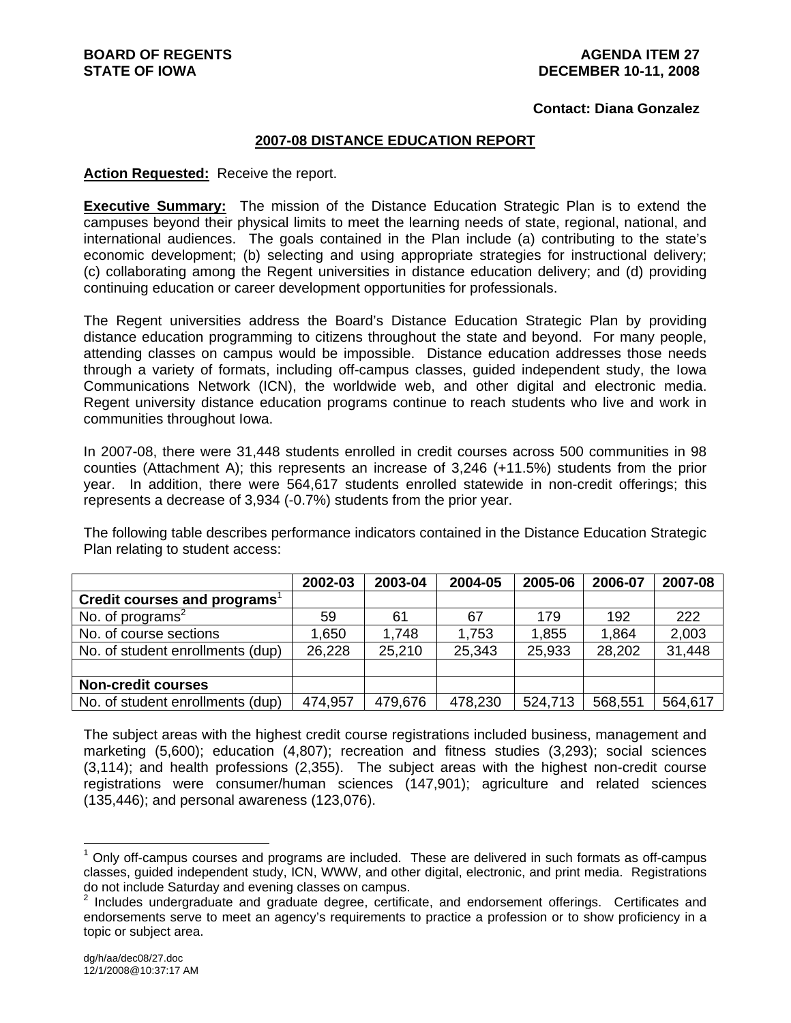#### **Contact: Diana Gonzalez**

### **2007-08 DISTANCE EDUCATION REPORT**

### **Action Requested:** Receive the report.

**Executive Summary:** The mission of the Distance Education Strategic Plan is to extend the campuses beyond their physical limits to meet the learning needs of state, regional, national, and international audiences. The goals contained in the Plan include (a) contributing to the state's economic development; (b) selecting and using appropriate strategies for instructional delivery; (c) collaborating among the Regent universities in distance education delivery; and (d) providing continuing education or career development opportunities for professionals.

The Regent universities address the Board's Distance Education Strategic Plan by providing distance education programming to citizens throughout the state and beyond. For many people, attending classes on campus would be impossible. Distance education addresses those needs through a variety of formats, including off-campus classes, guided independent study, the Iowa Communications Network (ICN), the worldwide web, and other digital and electronic media. Regent university distance education programs continue to reach students who live and work in communities throughout Iowa.

In 2007-08, there were 31,448 students enrolled in credit courses across 500 communities in 98 counties (Attachment A); this represents an increase of 3,246 (+11.5%) students from the prior year. In addition, there were 564,617 students enrolled statewide in non-credit offerings; this represents a decrease of 3,934 (-0.7%) students from the prior year.

The following table describes performance indicators contained in the Distance Education Strategic Plan relating to student access:

|                                          | 2002-03 | 2003-04 | 2004-05 | 2005-06 | 2006-07 | 2007-08 |
|------------------------------------------|---------|---------|---------|---------|---------|---------|
| Credit courses and programs <sup>1</sup> |         |         |         |         |         |         |
| No. of programs <sup>2</sup>             | 59      | 61      | 67      | 179     | 192     | 222     |
| No. of course sections                   | .650    | 1,748   | 1,753   | 1,855   | 1,864   | 2,003   |
| No. of student enrollments (dup)         | 26,228  | 25,210  | 25,343  | 25,933  | 28,202  | 31,448  |
|                                          |         |         |         |         |         |         |
| <b>Non-credit courses</b>                |         |         |         |         |         |         |
| No. of student enrollments (dup)         | 474,957 | 479,676 | 478,230 | 524,713 | 568,551 | 564,617 |

The subject areas with the highest credit course registrations included business, management and marketing (5,600); education (4,807); recreation and fitness studies (3,293); social sciences (3,114); and health professions (2,355). The subject areas with the highest non-credit course registrations were consumer/human sciences (147,901); agriculture and related sciences (135,446); and personal awareness (123,076).

 $\overline{a}$ 

 $1$  Only off-campus courses and programs are included. These are delivered in such formats as off-campus classes, guided independent study, ICN, WWW, and other digital, electronic, and print media. Registrations do not include Saturday and evening classes on campus.

<sup>2</sup> Includes undergraduate and graduate degree, certificate, and endorsement offerings. Certificates and endorsements serve to meet an agency's requirements to practice a profession or to show proficiency in a topic or subject area.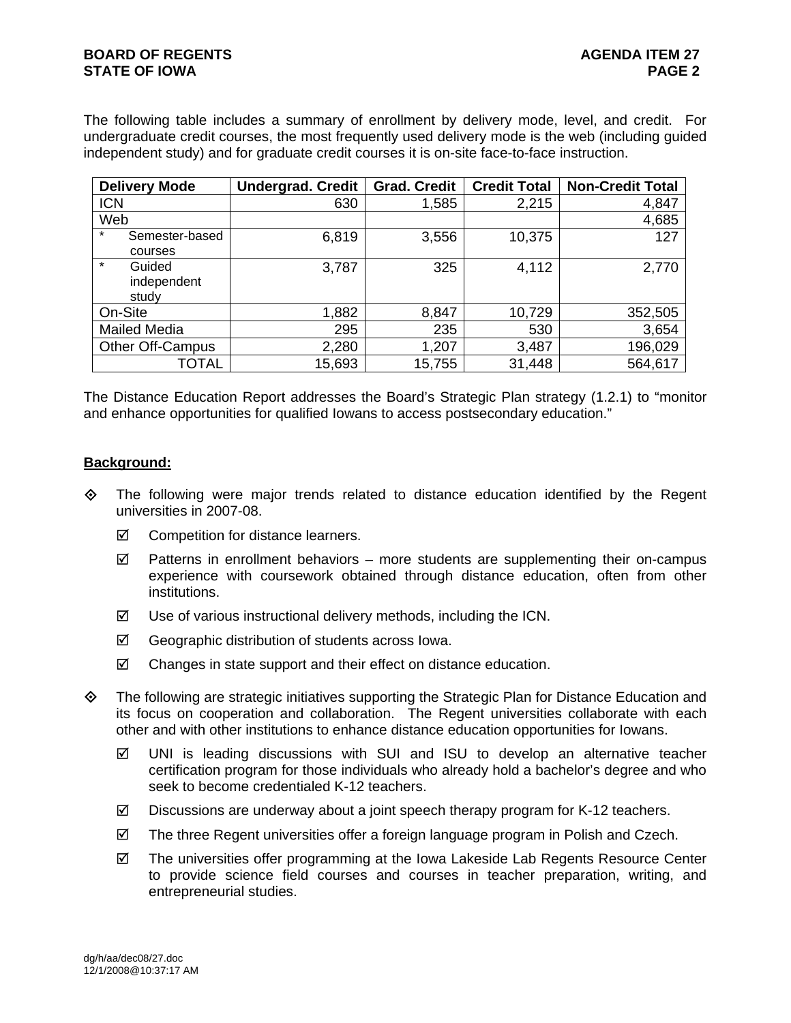The following table includes a summary of enrollment by delivery mode, level, and credit. For undergraduate credit courses, the most frequently used delivery mode is the web (including guided independent study) and for graduate credit courses it is on-site face-to-face instruction.

| <b>Delivery Mode</b>                      | <b>Undergrad. Credit</b> | <b>Grad. Credit</b> | <b>Credit Total</b> | <b>Non-Credit Total</b> |
|-------------------------------------------|--------------------------|---------------------|---------------------|-------------------------|
| <b>ICN</b>                                | 630                      | 1,585               | 2,215               | 4,847                   |
| Web                                       |                          |                     |                     | 4,685                   |
| $\ast$<br>Semester-based<br>courses       | 6,819                    | 3,556               | 10,375              | 127                     |
| $\star$<br>Guided<br>independent<br>study | 3,787                    | 325                 | 4,112               | 2,770                   |
| On-Site                                   | 1,882                    | 8,847               | 10,729              | 352,505                 |
| <b>Mailed Media</b>                       | 295                      | 235                 | 530                 | 3,654                   |
| <b>Other Off-Campus</b>                   | 2,280                    | 1,207               | 3,487               | 196,029                 |
| <b>TOTAL</b>                              | 15,693                   | 15,755              | 31,448              | 564,617                 |

The Distance Education Report addresses the Board's Strategic Plan strategy (1.2.1) to "monitor and enhance opportunities for qualified Iowans to access postsecondary education."

## **Background:**

- $\Leftrightarrow$  The following were major trends related to distance education identified by the Regent universities in 2007-08.
	- $\boxtimes$  Competition for distance learners.
	- $\boxtimes$  Patterns in enrollment behaviors more students are supplementing their on-campus experience with coursework obtained through distance education, often from other institutions.
	- $\boxtimes$  Use of various instructional delivery methods, including the ICN.
	- $\boxtimes$  Geographic distribution of students across lowa.
	- $\boxtimes$  Changes in state support and their effect on distance education.
- The following are strategic initiatives supporting the Strategic Plan for Distance Education and its focus on cooperation and collaboration. The Regent universities collaborate with each other and with other institutions to enhance distance education opportunities for Iowans.
	- $\boxtimes$  UNI is leading discussions with SUI and ISU to develop an alternative teacher certification program for those individuals who already hold a bachelor's degree and who seek to become credentialed K-12 teachers.
	- $\boxtimes$  Discussions are underway about a joint speech therapy program for K-12 teachers.
	- $\boxtimes$  The three Regent universities offer a foreign language program in Polish and Czech.
	- $\boxtimes$  The universities offer programming at the Iowa Lakeside Lab Regents Resource Center to provide science field courses and courses in teacher preparation, writing, and entrepreneurial studies.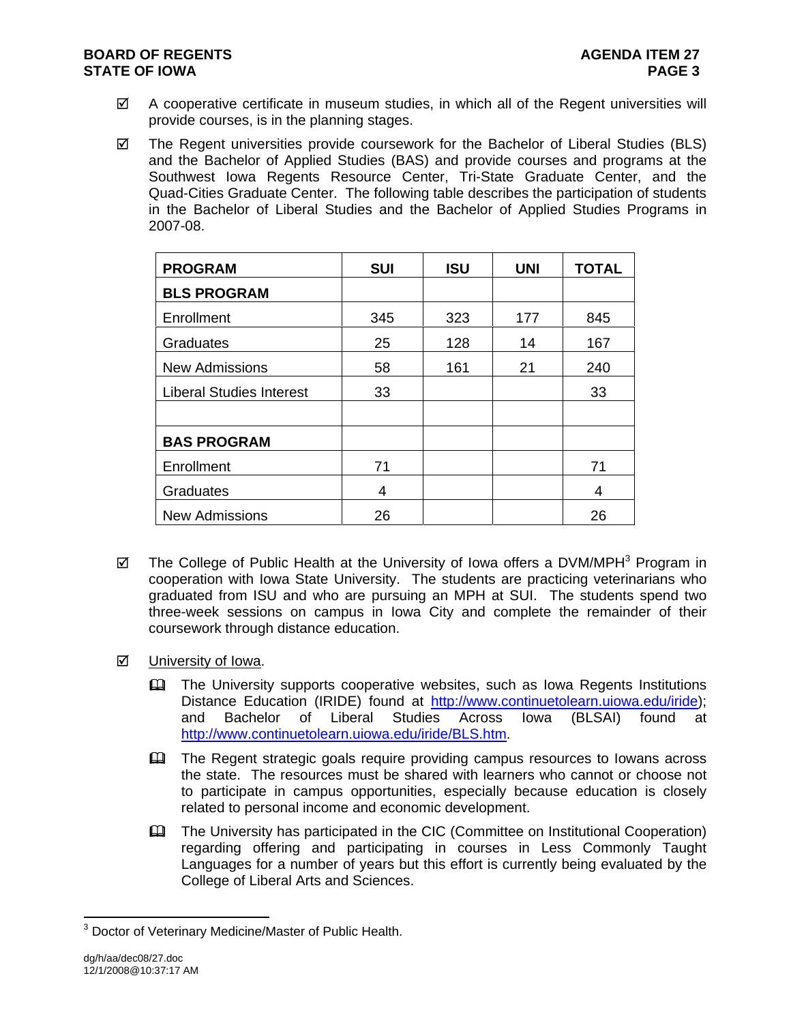### **BOARD OF REGENTS AGENUS AGENDA ITEM 27 STATE OF IOWA** PAGE 3

- $\boxtimes$  A cooperative certificate in museum studies, in which all of the Regent universities will provide courses, is in the planning stages.
- $\boxtimes$  The Regent universities provide coursework for the Bachelor of Liberal Studies (BLS) and the Bachelor of Applied Studies (BAS) and provide courses and programs at the Southwest Iowa Regents Resource Center, Tri-State Graduate Center, and the Quad-Cities Graduate Center. The following table describes the participation of students in the Bachelor of Liberal Studies and the Bachelor of Applied Studies Programs in 2007-08.

| <b>PROGRAM</b>                  | <b>SUI</b> | <b>ISU</b> | <b>UNI</b> | <b>TOTAL</b> |
|---------------------------------|------------|------------|------------|--------------|
| <b>BLS PROGRAM</b>              |            |            |            |              |
| Enrollment                      | 345        | 323        | 177        | 845          |
| Graduates                       | 25         | 128        | 14         | 167          |
| <b>New Admissions</b>           | 58         | 161        | 21         | 240          |
| <b>Liberal Studies Interest</b> | 33         |            |            | 33           |
|                                 |            |            |            |              |
| <b>BAS PROGRAM</b>              |            |            |            |              |
| Enrollment                      | 71         |            |            | 71           |
| Graduates                       | 4          |            |            | 4            |
| <b>New Admissions</b>           | 26         |            |            | 26           |

- $\boxtimes$  The College of Public Health at the University of Iowa offers a DVM/MPH<sup>3</sup> Program in cooperation with Iowa State University. The students are practicing veterinarians who graduated from ISU and who are pursuing an MPH at SUI. The students spend two three-week sessions on campus in Iowa City and complete the remainder of their coursework through distance education.
- **Ø** University of Iowa.
	- The University supports cooperative websites, such as Iowa Regents Institutions Distance Education (IRIDE) found at http://www.continuetolearn.uiowa.edu/iride); and Bachelor of Liberal Studies Across Iowa (BLSAI) found at http://www.continuetolearn.uiowa.edu/iride/BLS.htm.
	- The Regent strategic goals require providing campus resources to Iowans across the state. The resources must be shared with learners who cannot or choose not to participate in campus opportunities, especially because education is closely related to personal income and economic development.
	- The University has participated in the CIC (Committee on Institutional Cooperation) regarding offering and participating in courses in Less Commonly Taught Languages for a number of years but this effort is currently being evaluated by the College of Liberal Arts and Sciences.

l

<sup>&</sup>lt;sup>3</sup> Doctor of Veterinary Medicine/Master of Public Health.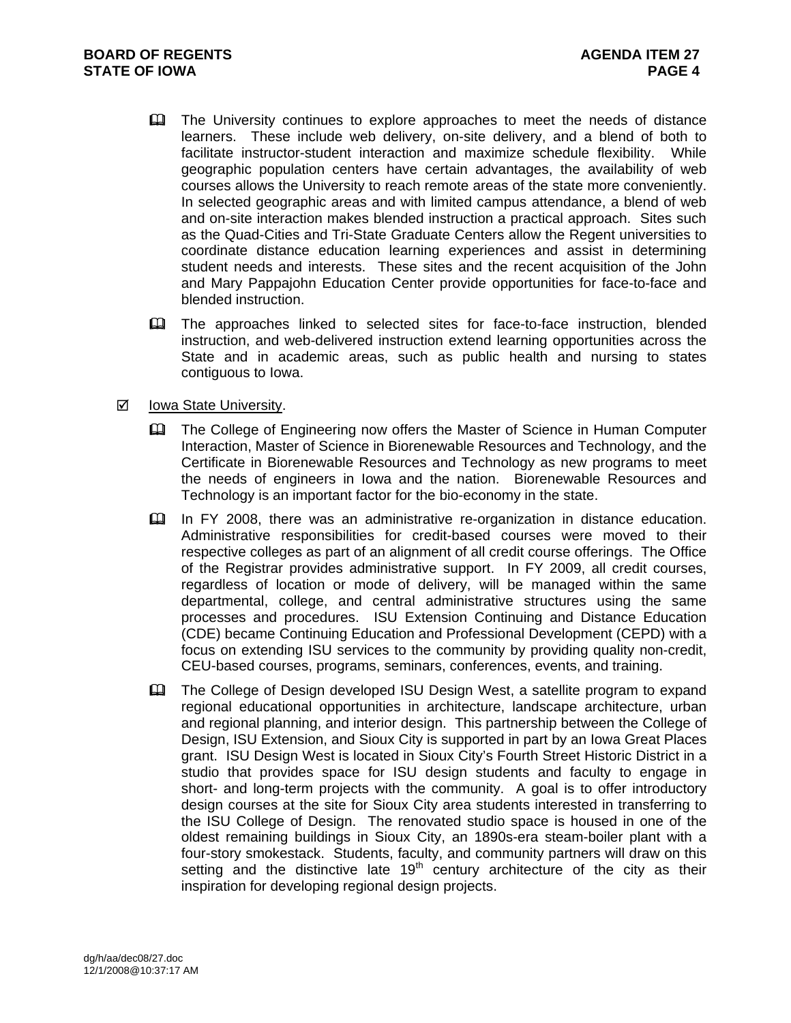- **EQ**  The University continues to explore approaches to meet the needs of distance learners. These include web delivery, on-site delivery, and a blend of both to facilitate instructor-student interaction and maximize schedule flexibility. While geographic population centers have certain advantages, the availability of web courses allows the University to reach remote areas of the state more conveniently. In selected geographic areas and with limited campus attendance, a blend of web and on-site interaction makes blended instruction a practical approach. Sites such as the Quad-Cities and Tri-State Graduate Centers allow the Regent universities to coordinate distance education learning experiences and assist in determining student needs and interests. These sites and the recent acquisition of the John and Mary Pappajohn Education Center provide opportunities for face-to-face and blended instruction.
- The approaches linked to selected sites for face-to-face instruction, blended instruction, and web-delivered instruction extend learning opportunities across the State and in academic areas, such as public health and nursing to states contiguous to Iowa.

- The College of Engineering now offers the Master of Science in Human Computer Interaction, Master of Science in Biorenewable Resources and Technology, and the Certificate in Biorenewable Resources and Technology as new programs to meet the needs of engineers in Iowa and the nation. Biorenewable Resources and Technology is an important factor for the bio-economy in the state.
- In FY 2008, there was an administrative re-organization in distance education. Administrative responsibilities for credit-based courses were moved to their respective colleges as part of an alignment of all credit course offerings. The Office of the Registrar provides administrative support. In FY 2009, all credit courses, regardless of location or mode of delivery, will be managed within the same departmental, college, and central administrative structures using the same processes and procedures. ISU Extension Continuing and Distance Education (CDE) became Continuing Education and Professional Development (CEPD) with a focus on extending ISU services to the community by providing quality non-credit, CEU-based courses, programs, seminars, conferences, events, and training.
- The College of Design developed ISU Design West, a satellite program to expand regional educational opportunities in architecture, landscape architecture, urban and regional planning, and interior design. This partnership between the College of Design, ISU Extension, and Sioux City is supported in part by an Iowa Great Places grant. ISU Design West is located in Sioux City's Fourth Street Historic District in a studio that provides space for ISU design students and faculty to engage in short- and long-term projects with the community. A goal is to offer introductory design courses at the site for Sioux City area students interested in transferring to the ISU College of Design. The renovated studio space is housed in one of the oldest remaining buildings in Sioux City, an 1890s-era steam-boiler plant with a four-story smokestack. Students, faculty, and community partners will draw on this setting and the distinctive late  $19<sup>th</sup>$  century architecture of the city as their inspiration for developing regional design projects.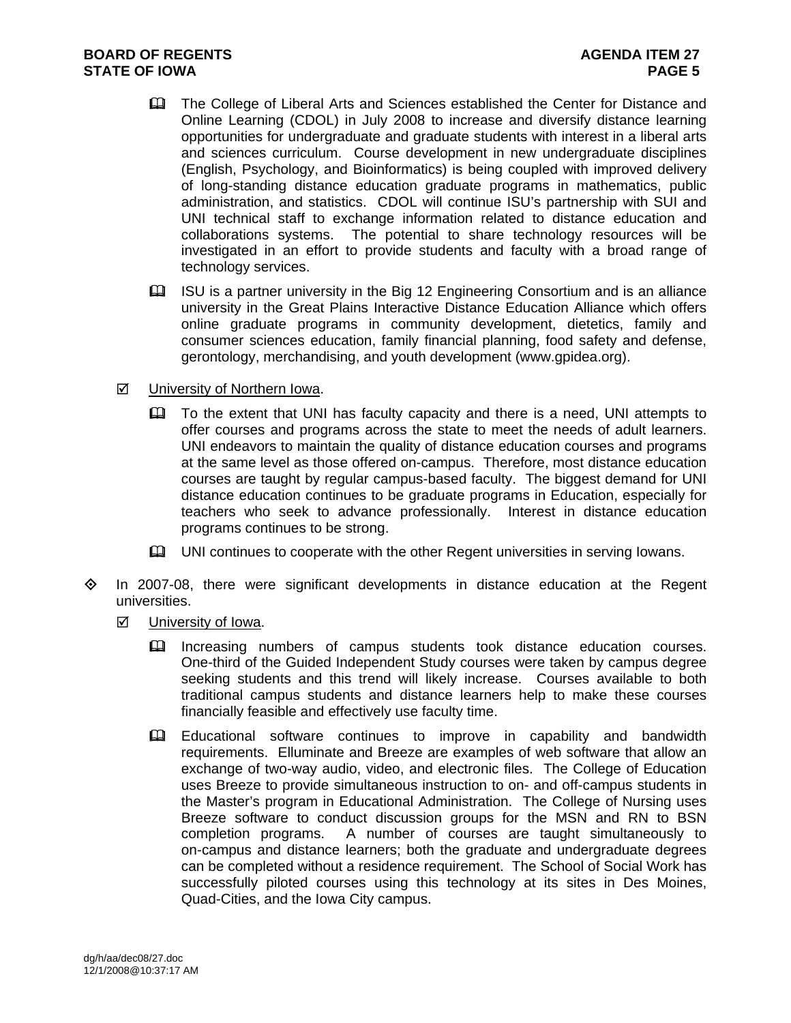- The College of Liberal Arts and Sciences established the Center for Distance and Online Learning (CDOL) in July 2008 to increase and diversify distance learning opportunities for undergraduate and graduate students with interest in a liberal arts and sciences curriculum. Course development in new undergraduate disciplines (English, Psychology, and Bioinformatics) is being coupled with improved delivery of long-standing distance education graduate programs in mathematics, public administration, and statistics. CDOL will continue ISU's partnership with SUI and UNI technical staff to exchange information related to distance education and collaborations systems. The potential to share technology resources will be investigated in an effort to provide students and faculty with a broad range of technology services.
- ISU is a partner university in the Big 12 Engineering Consortium and is an alliance university in the Great Plains Interactive Distance Education Alliance which offers online graduate programs in community development, dietetics, family and consumer sciences education, family financial planning, food safety and defense, gerontology, merchandising, and youth development (www.gpidea.org).
- $\boxtimes$  University of Northern Iowa.
	- To the extent that UNI has faculty capacity and there is a need, UNI attempts to offer courses and programs across the state to meet the needs of adult learners. UNI endeavors to maintain the quality of distance education courses and programs at the same level as those offered on-campus. Therefore, most distance education courses are taught by regular campus-based faculty. The biggest demand for UNI distance education continues to be graduate programs in Education, especially for teachers who seek to advance professionally. Interest in distance education programs continues to be strong.
	- **E. UNI continues to cooperate with the other Regent universities in serving lowans.**
- $\Diamond$  In 2007-08, there were significant developments in distance education at the Regent universities.
	- $\boxtimes$  University of Iowa.
		- Increasing numbers of campus students took distance education courses. One-third of the Guided Independent Study courses were taken by campus degree seeking students and this trend will likely increase. Courses available to both traditional campus students and distance learners help to make these courses financially feasible and effectively use faculty time.
		- Educational software continues to improve in capability and bandwidth requirements. Elluminate and Breeze are examples of web software that allow an exchange of two-way audio, video, and electronic files. The College of Education uses Breeze to provide simultaneous instruction to on- and off-campus students in the Master's program in Educational Administration. The College of Nursing uses Breeze software to conduct discussion groups for the MSN and RN to BSN completion programs. A number of courses are taught simultaneously to on-campus and distance learners; both the graduate and undergraduate degrees can be completed without a residence requirement. The School of Social Work has successfully piloted courses using this technology at its sites in Des Moines, Quad-Cities, and the Iowa City campus.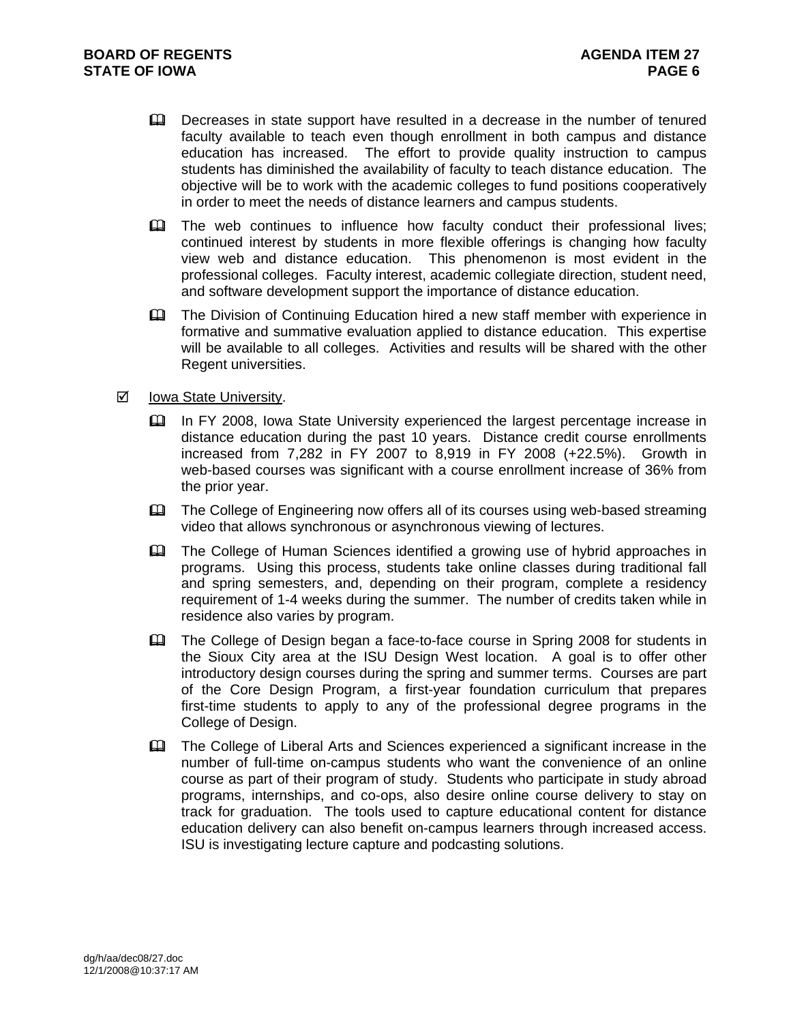- **Example 2** Decreases in state support have resulted in a decrease in the number of tenured faculty available to teach even though enrollment in both campus and distance education has increased. The effort to provide quality instruction to campus students has diminished the availability of faculty to teach distance education. The objective will be to work with the academic colleges to fund positions cooperatively in order to meet the needs of distance learners and campus students.
- **EQ The web continues to influence how faculty conduct their professional lives;** continued interest by students in more flexible offerings is changing how faculty view web and distance education. This phenomenon is most evident in the professional colleges. Faculty interest, academic collegiate direction, student need, and software development support the importance of distance education.
- The Division of Continuing Education hired a new staff member with experience in formative and summative evaluation applied to distance education. This expertise will be available to all colleges. Activities and results will be shared with the other Regent universities.
- $\boxtimes$  Iowa State University.
	- In FY 2008, Iowa State University experienced the largest percentage increase in distance education during the past 10 years. Distance credit course enrollments increased from 7,282 in FY 2007 to 8,919 in FY 2008 (+22.5%). Growth in web-based courses was significant with a course enrollment increase of 36% from the prior year.
	- The College of Engineering now offers all of its courses using web-based streaming video that allows synchronous or asynchronous viewing of lectures.
	- The College of Human Sciences identified a growing use of hybrid approaches in programs. Using this process, students take online classes during traditional fall and spring semesters, and, depending on their program, complete a residency requirement of 1-4 weeks during the summer. The number of credits taken while in residence also varies by program.
	- The College of Design began a face-to-face course in Spring 2008 for students in the Sioux City area at the ISU Design West location. A goal is to offer other introductory design courses during the spring and summer terms. Courses are part of the Core Design Program, a first-year foundation curriculum that prepares first-time students to apply to any of the professional degree programs in the College of Design.
	- The College of Liberal Arts and Sciences experienced a significant increase in the number of full-time on-campus students who want the convenience of an online course as part of their program of study. Students who participate in study abroad programs, internships, and co-ops, also desire online course delivery to stay on track for graduation. The tools used to capture educational content for distance education delivery can also benefit on-campus learners through increased access. ISU is investigating lecture capture and podcasting solutions.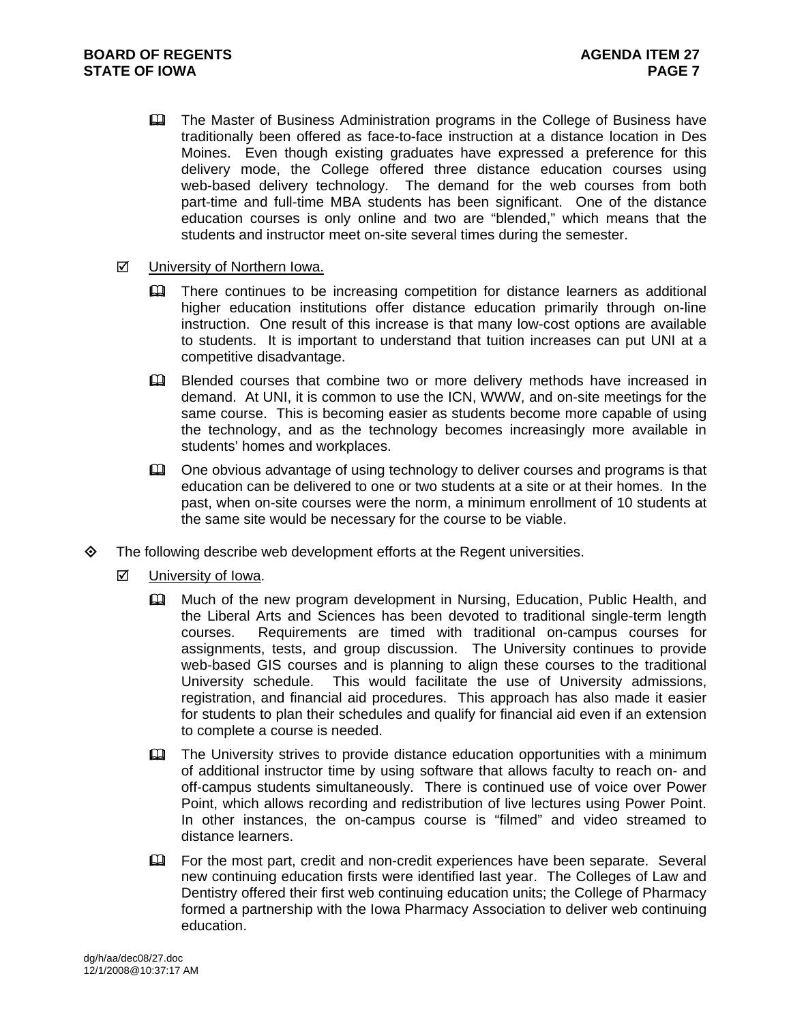The Master of Business Administration programs in the College of Business have traditionally been offered as face-to-face instruction at a distance location in Des Moines. Even though existing graduates have expressed a preference for this delivery mode, the College offered three distance education courses using web-based delivery technology. The demand for the web courses from both part-time and full-time MBA students has been significant. One of the distance education courses is only online and two are "blended," which means that the students and instructor meet on-site several times during the semester.

### $\boxtimes$  University of Northern Iowa.

- **Example 2** There continues to be increasing competition for distance learners as additional higher education institutions offer distance education primarily through on-line instruction. One result of this increase is that many low-cost options are available to students. It is important to understand that tuition increases can put UNI at a competitive disadvantage.
- **Example 1** Blended courses that combine two or more delivery methods have increased in demand. At UNI, it is common to use the ICN, WWW, and on-site meetings for the same course. This is becoming easier as students become more capable of using the technology, and as the technology becomes increasingly more available in students' homes and workplaces.
- One obvious advantage of using technology to deliver courses and programs is that education can be delivered to one or two students at a site or at their homes. In the past, when on-site courses were the norm, a minimum enrollment of 10 students at the same site would be necessary for the course to be viable.
- $\diamond$  The following describe web development efforts at the Regent universities.
	- $\boxtimes$  University of Iowa.
		- Much of the new program development in Nursing, Education, Public Health, and the Liberal Arts and Sciences has been devoted to traditional single-term length courses. Requirements are timed with traditional on-campus courses for assignments, tests, and group discussion. The University continues to provide web-based GIS courses and is planning to align these courses to the traditional University schedule. This would facilitate the use of University admissions, registration, and financial aid procedures. This approach has also made it easier for students to plan their schedules and qualify for financial aid even if an extension to complete a course is needed.
		- **Example 3** The University strives to provide distance education opportunities with a minimum of additional instructor time by using software that allows faculty to reach on- and off-campus students simultaneously. There is continued use of voice over Power Point, which allows recording and redistribution of live lectures using Power Point. In other instances, the on-campus course is "filmed" and video streamed to distance learners.
		- For the most part, credit and non-credit experiences have been separate. Several new continuing education firsts were identified last year. The Colleges of Law and Dentistry offered their first web continuing education units; the College of Pharmacy formed a partnership with the Iowa Pharmacy Association to deliver web continuing education.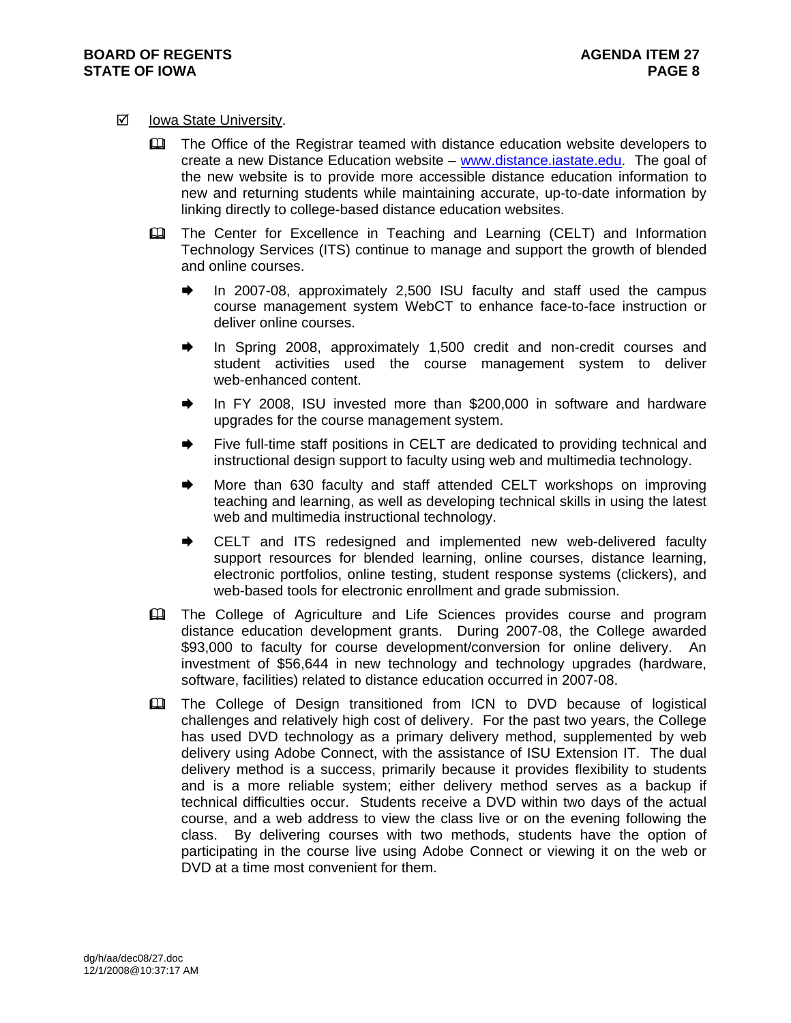- The Office of the Registrar teamed with distance education website developers to create a new Distance Education website – www.distance.iastate.edu. The goal of the new website is to provide more accessible distance education information to new and returning students while maintaining accurate, up-to-date information by linking directly to college-based distance education websites.
- The Center for Excellence in Teaching and Learning (CELT) and Information Technology Services (ITS) continue to manage and support the growth of blended and online courses.
	- In 2007-08, approximately 2,500 ISU faculty and staff used the campus course management system WebCT to enhance face-to-face instruction or deliver online courses.
	- In Spring 2008, approximately 1,500 credit and non-credit courses and student activities used the course management system to deliver web-enhanced content.
	- In FY 2008, ISU invested more than \$200,000 in software and hardware upgrades for the course management system.
	- $\rightarrow$  Five full-time staff positions in CELT are dedicated to providing technical and instructional design support to faculty using web and multimedia technology.
	- **■** More than 630 faculty and staff attended CELT workshops on improving teaching and learning, as well as developing technical skills in using the latest web and multimedia instructional technology.
	- **■** CELT and ITS redesigned and implemented new web-delivered faculty support resources for blended learning, online courses, distance learning, electronic portfolios, online testing, student response systems (clickers), and web-based tools for electronic enrollment and grade submission.
- The College of Agriculture and Life Sciences provides course and program distance education development grants. During 2007-08, the College awarded \$93,000 to faculty for course development/conversion for online delivery. An investment of \$56,644 in new technology and technology upgrades (hardware, software, facilities) related to distance education occurred in 2007-08.
- The College of Design transitioned from ICN to DVD because of logistical challenges and relatively high cost of delivery. For the past two years, the College has used DVD technology as a primary delivery method, supplemented by web delivery using Adobe Connect, with the assistance of ISU Extension IT. The dual delivery method is a success, primarily because it provides flexibility to students and is a more reliable system; either delivery method serves as a backup if technical difficulties occur. Students receive a DVD within two days of the actual course, and a web address to view the class live or on the evening following the class. By delivering courses with two methods, students have the option of participating in the course live using Adobe Connect or viewing it on the web or DVD at a time most convenient for them.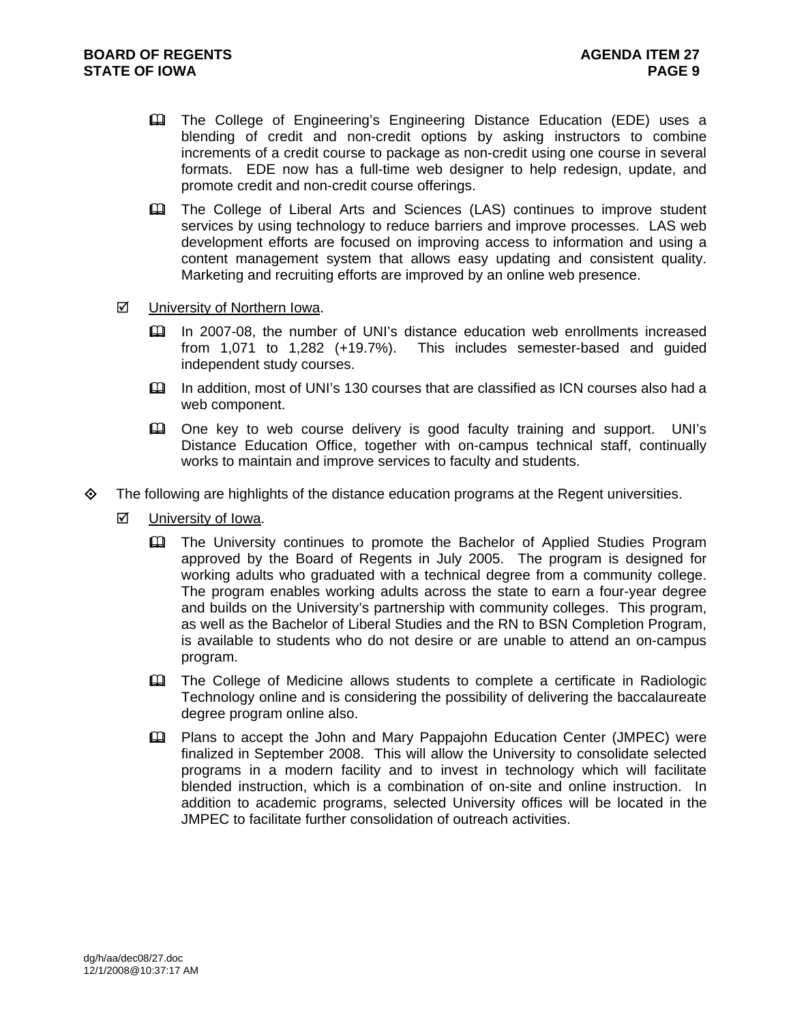- The College of Engineering's Engineering Distance Education (EDE) uses a blending of credit and non-credit options by asking instructors to combine increments of a credit course to package as non-credit using one course in several formats. EDE now has a full-time web designer to help redesign, update, and promote credit and non-credit course offerings.
- The College of Liberal Arts and Sciences (LAS) continues to improve student services by using technology to reduce barriers and improve processes. LAS web development efforts are focused on improving access to information and using a content management system that allows easy updating and consistent quality. Marketing and recruiting efforts are improved by an online web presence.
- $\boxtimes$  University of Northern Iowa.
	- In 2007-08, the number of UNI's distance education web enrollments increased from 1,071 to 1,282 (+19.7%). This includes semester-based and guided independent study courses.
	- In addition, most of UNI's 130 courses that are classified as ICN courses also had a web component.
	- One key to web course delivery is good faculty training and support. UNI's Distance Education Office, together with on-campus technical staff, continually works to maintain and improve services to faculty and students.
- $\diamond$  The following are highlights of the distance education programs at the Regent universities.
	- **Ø** University of Iowa.
		- The University continues to promote the Bachelor of Applied Studies Program approved by the Board of Regents in July 2005. The program is designed for working adults who graduated with a technical degree from a community college. The program enables working adults across the state to earn a four-year degree and builds on the University's partnership with community colleges. This program, as well as the Bachelor of Liberal Studies and the RN to BSN Completion Program, is available to students who do not desire or are unable to attend an on-campus program.
		- The College of Medicine allows students to complete a certificate in Radiologic Technology online and is considering the possibility of delivering the baccalaureate degree program online also.
		- Plans to accept the John and Mary Pappajohn Education Center (JMPEC) were finalized in September 2008. This will allow the University to consolidate selected programs in a modern facility and to invest in technology which will facilitate blended instruction, which is a combination of on-site and online instruction. In addition to academic programs, selected University offices will be located in the JMPEC to facilitate further consolidation of outreach activities.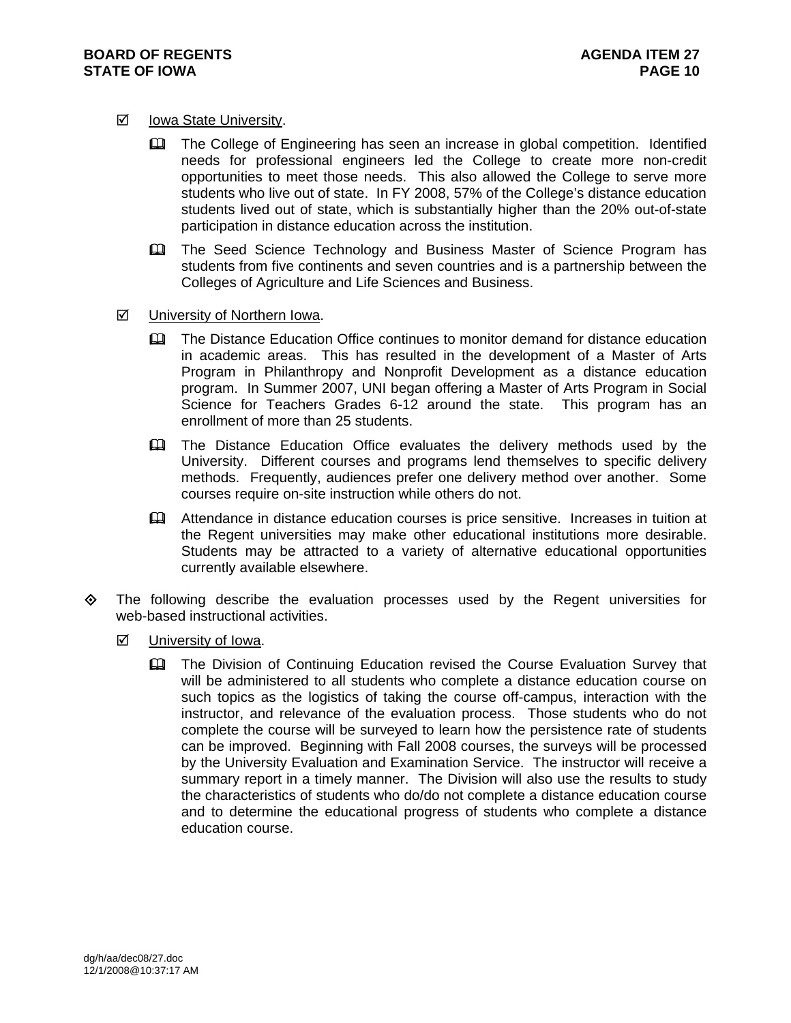- The College of Engineering has seen an increase in global competition. Identified needs for professional engineers led the College to create more non-credit opportunities to meet those needs. This also allowed the College to serve more students who live out of state. In FY 2008, 57% of the College's distance education students lived out of state, which is substantially higher than the 20% out-of-state participation in distance education across the institution.
- **EQ The Seed Science Technology and Business Master of Science Program has** students from five continents and seven countries and is a partnership between the Colleges of Agriculture and Life Sciences and Business.
- **Ø** University of Northern Iowa.
	- The Distance Education Office continues to monitor demand for distance education in academic areas. This has resulted in the development of a Master of Arts Program in Philanthropy and Nonprofit Development as a distance education program. In Summer 2007, UNI began offering a Master of Arts Program in Social Science for Teachers Grades 6-12 around the state. This program has an enrollment of more than 25 students.
	- **EQ The Distance Education Office evaluates the delivery methods used by the** University. Different courses and programs lend themselves to specific delivery methods. Frequently, audiences prefer one delivery method over another. Some courses require on-site instruction while others do not.
	- Attendance in distance education courses is price sensitive. Increases in tuition at the Regent universities may make other educational institutions more desirable. Students may be attracted to a variety of alternative educational opportunities currently available elsewhere.
- $\Leftrightarrow$  The following describe the evaluation processes used by the Regent universities for web-based instructional activities.
	- $\boxtimes$  University of Iowa.
		- The Division of Continuing Education revised the Course Evaluation Survey that will be administered to all students who complete a distance education course on such topics as the logistics of taking the course off-campus, interaction with the instructor, and relevance of the evaluation process. Those students who do not complete the course will be surveyed to learn how the persistence rate of students can be improved. Beginning with Fall 2008 courses, the surveys will be processed by the University Evaluation and Examination Service. The instructor will receive a summary report in a timely manner. The Division will also use the results to study the characteristics of students who do/do not complete a distance education course and to determine the educational progress of students who complete a distance education course.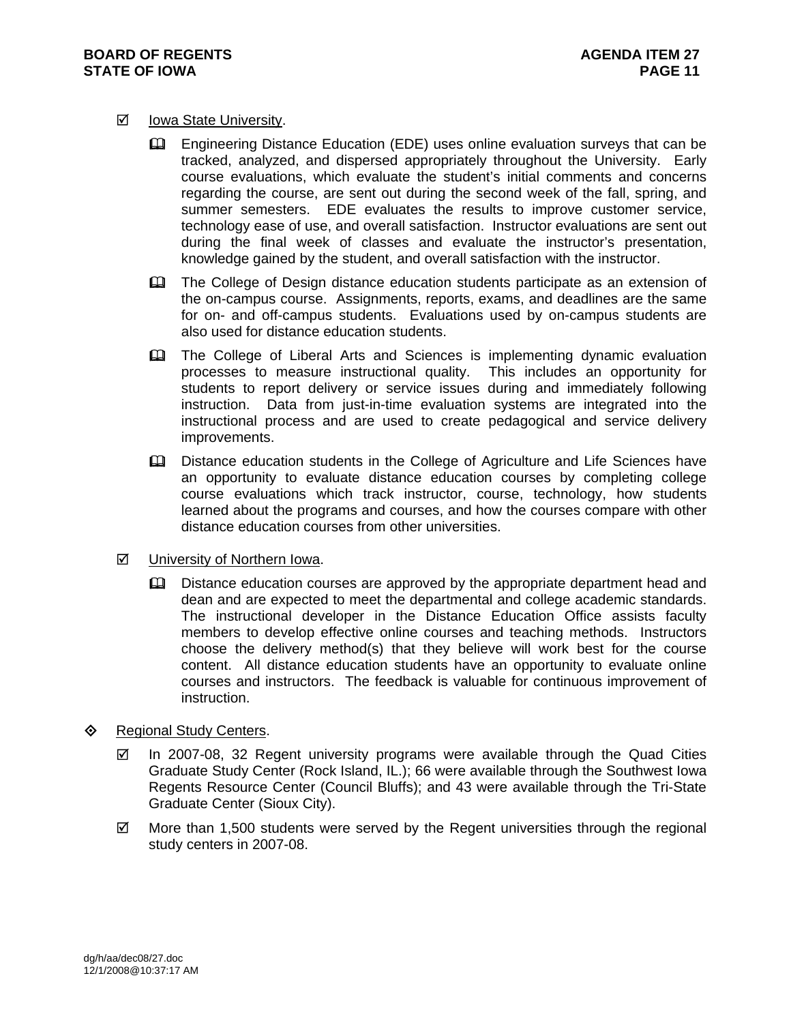- Engineering Distance Education (EDE) uses online evaluation surveys that can be tracked, analyzed, and dispersed appropriately throughout the University. Early course evaluations, which evaluate the student's initial comments and concerns regarding the course, are sent out during the second week of the fall, spring, and summer semesters. EDE evaluates the results to improve customer service, technology ease of use, and overall satisfaction. Instructor evaluations are sent out during the final week of classes and evaluate the instructor's presentation, knowledge gained by the student, and overall satisfaction with the instructor.
- The College of Design distance education students participate as an extension of the on-campus course. Assignments, reports, exams, and deadlines are the same for on- and off-campus students. Evaluations used by on-campus students are also used for distance education students.
- The College of Liberal Arts and Sciences is implementing dynamic evaluation processes to measure instructional quality. This includes an opportunity for students to report delivery or service issues during and immediately following instruction. Data from just-in-time evaluation systems are integrated into the instructional process and are used to create pedagogical and service delivery improvements.
- Distance education students in the College of Agriculture and Life Sciences have an opportunity to evaluate distance education courses by completing college course evaluations which track instructor, course, technology, how students learned about the programs and courses, and how the courses compare with other distance education courses from other universities.
- $\boxtimes$  University of Northern Iowa.
	- **E.** Distance education courses are approved by the appropriate department head and dean and are expected to meet the departmental and college academic standards. The instructional developer in the Distance Education Office assists faculty members to develop effective online courses and teaching methods. Instructors choose the delivery method(s) that they believe will work best for the course content. All distance education students have an opportunity to evaluate online courses and instructors. The feedback is valuable for continuous improvement of instruction.
- ♦ Regional Study Centers.
	- $\boxtimes$  In 2007-08, 32 Regent university programs were available through the Quad Cities Graduate Study Center (Rock Island, IL.); 66 were available through the Southwest Iowa Regents Resource Center (Council Bluffs); and 43 were available through the Tri-State Graduate Center (Sioux City).
	- $\boxtimes$  More than 1,500 students were served by the Regent universities through the regional study centers in 2007-08.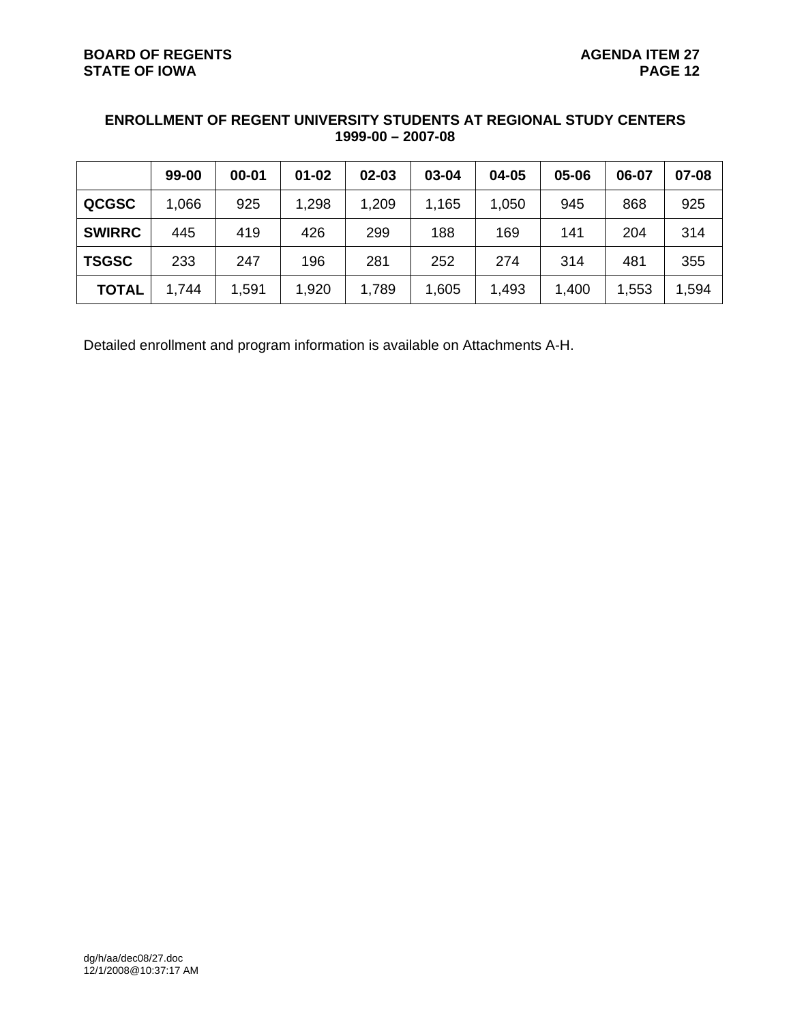|               |       |           |           | 02-03 |       |       | 05-06 |       |       |
|---------------|-------|-----------|-----------|-------|-------|-------|-------|-------|-------|
|               | 99-00 | $00 - 01$ | $01 - 02$ |       | 03-04 | 04-05 |       | 06-07 | 07-08 |
| <b>QCGSC</b>  | 1,066 | 925       | 1,298     | 1,209 | 1,165 | 1,050 | 945   | 868   | 925   |
| <b>SWIRRC</b> | 445   | 419       | 426       | 299   | 188   | 169   | 141   | 204   | 314   |
| <b>TSGSC</b>  | 233   | 247       | 196       | 281   | 252   | 274   | 314   | 481   | 355   |
| <b>TOTAL</b>  | 1,744 | 1,591     | 1,920     | 1,789 | 1,605 | 1,493 | 1,400 | 1,553 | 1,594 |

### **ENROLLMENT OF REGENT UNIVERSITY STUDENTS AT REGIONAL STUDY CENTERS 1999-00 – 2007-08**

Detailed enrollment and program information is available on Attachments A-H.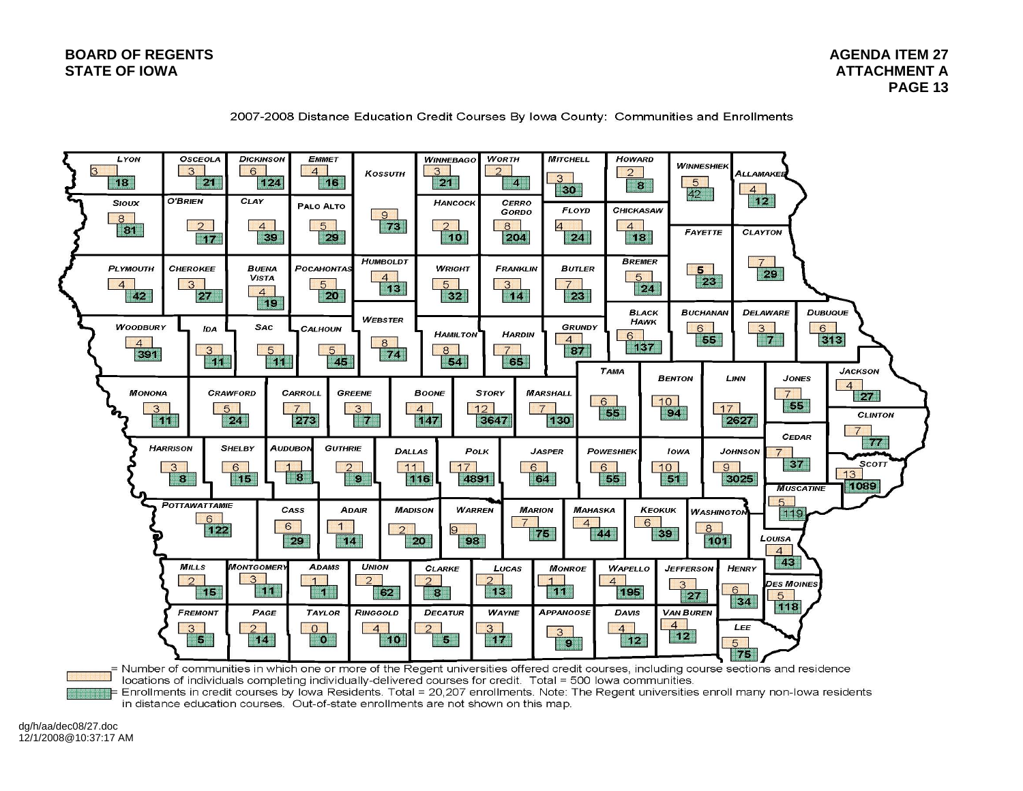## **BOARD OF REGENTS AGENUS AGENUS AGENUS AGENUS AGENUS AGENUA ITEM 27 STATE OF IOWA ATTACHMENT A**  $\blacksquare$



2007-2008 Distance Education Credit Courses By Iowa County: Communities and Enrollments

= Number of communities in which one or more of the Regent universities offered credit courses, including course sections and residence locations of individuals completing individually-delivered courses for credit. Total = 500 lowa communities.

Enrollments in credit courses by lowa Residents. Total = 20,207 enrollments. Note: The Regent universities enroll many non-lowa residents in distance education courses. Out-of-state enrollments are not shown on this map.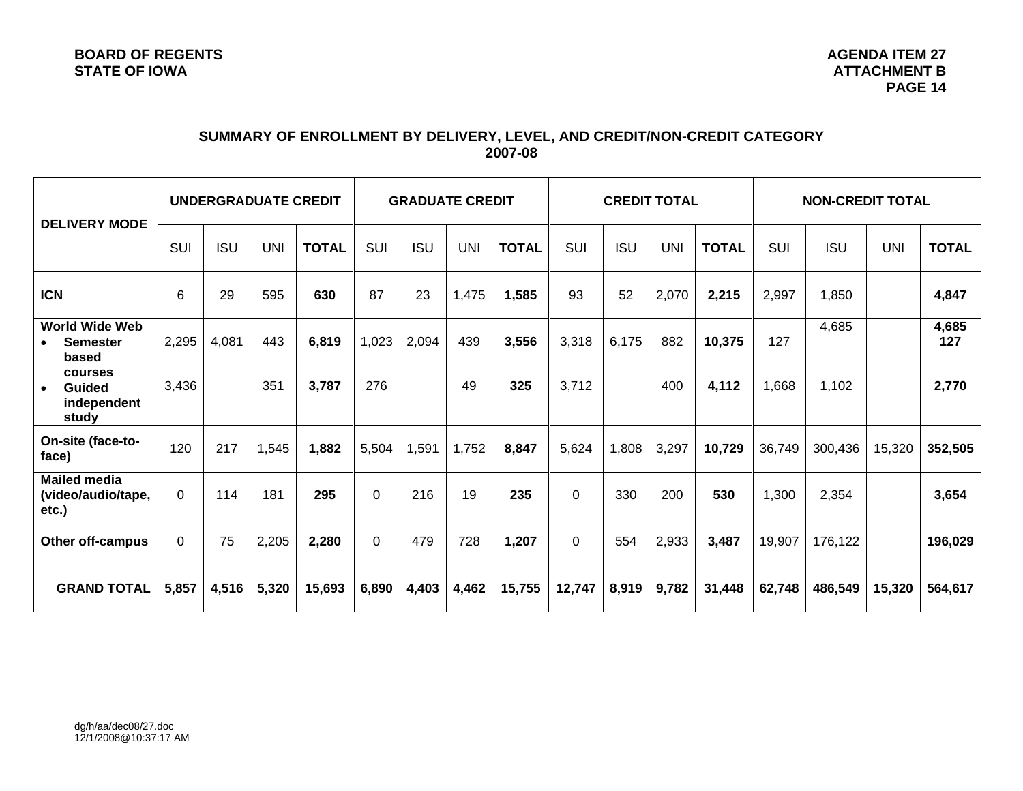# **SUMMARY OF ENROLLMENT BY DELIVERY, LEVEL, AND CREDIT/NON-CREDIT CATEGORY 2007-08**

| <b>DELIVERY MODE</b>                                          | <b>UNDERGRADUATE CREDIT</b> |            |            | <b>GRADUATE CREDIT</b> |          | <b>CREDIT TOTAL</b> |            |              | <b>NON-CREDIT TOTAL</b> |            |            |              |        |            |            |              |
|---------------------------------------------------------------|-----------------------------|------------|------------|------------------------|----------|---------------------|------------|--------------|-------------------------|------------|------------|--------------|--------|------------|------------|--------------|
|                                                               | SUI                         | <b>ISU</b> | <b>UNI</b> | <b>TOTAL</b>           | SUI      | <b>ISU</b>          | <b>UNI</b> | <b>TOTAL</b> | SUI                     | <b>ISU</b> | <b>UNI</b> | <b>TOTAL</b> | SUI    | <b>ISU</b> | <b>UNI</b> | <b>TOTAL</b> |
| <b>ICN</b>                                                    | 6                           | 29         | 595        | 630                    | 87       | 23                  | 1,475      | 1,585        | 93                      | 52         | 2,070      | 2,215        | 2,997  | 1,850      |            | 4,847        |
| World Wide Web<br><b>Semester</b><br>based                    | 2,295                       | 4,081      | 443        | 6,819                  | 1,023    | 2,094               | 439        | 3,556        | 3,318                   | 6,175      | 882        | 10,375       | 127    | 4,685      |            | 4,685<br>127 |
| courses<br><b>Guided</b><br>$\bullet$<br>independent<br>study | 3,436                       |            | 351        | 3,787                  | 276      |                     | 49         | 325          | 3,712                   |            | 400        | 4,112        | 1,668  | 1,102      |            | 2,770        |
| On-site (face-to-<br>face)                                    | 120                         | 217        | 1,545      | 1,882                  | 5,504    | 1,591               | 1,752      | 8,847        | 5,624                   | ,808       | 3,297      | 10,729       | 36,749 | 300,436    | 15,320     | 352,505      |
| <b>Mailed media</b><br>(video/audio/tape,<br>etc.)            | $\Omega$                    | 114        | 181        | 295                    | $\Omega$ | 216                 | 19         | 235          | $\Omega$                | 330        | 200        | 530          | 1,300  | 2,354      |            | 3,654        |
| Other off-campus                                              | $\Omega$                    | 75         | 2,205      | 2,280                  | $\Omega$ | 479                 | 728        | 1,207        | $\Omega$                | 554        | 2,933      | 3,487        | 19,907 | 176,122    |            | 196,029      |
| <b>GRAND TOTAL</b>                                            | 5,857                       | 4,516      | 5,320      | 15,693                 | 6,890    | 4,403               | 4,462      | 15,755       | 12,747                  | 8,919      | 9,782      | 31,448       | 62,748 | 486,549    | 15,320     | 564,617      |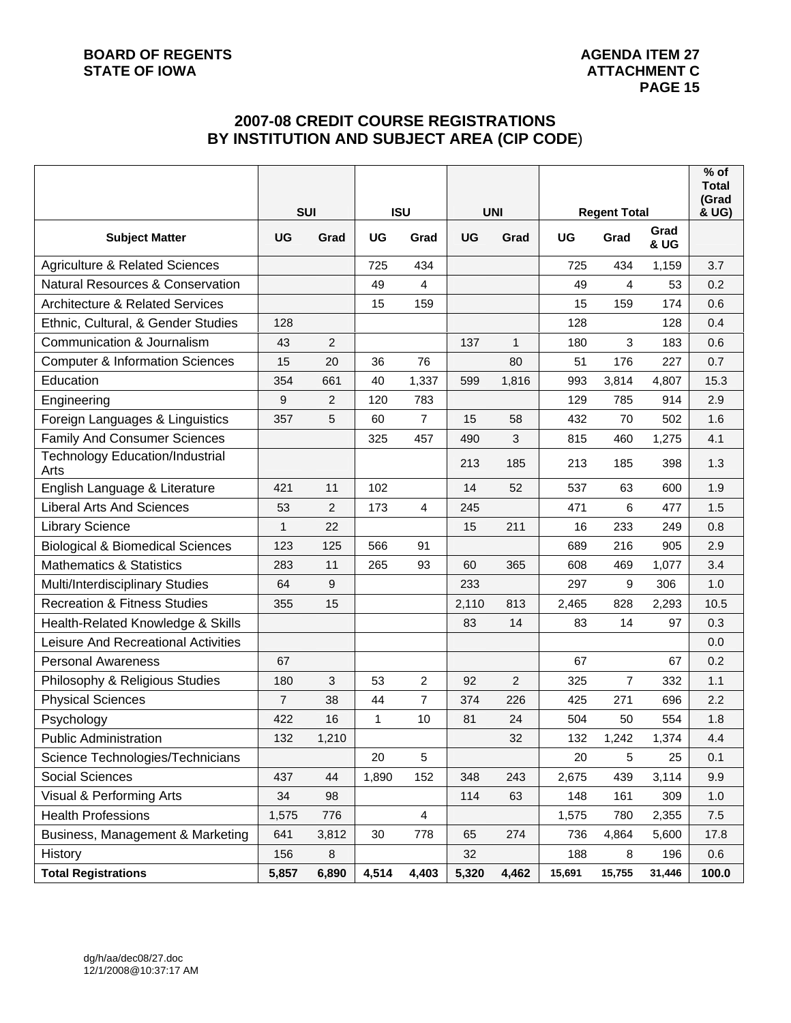# **2007-08 CREDIT COURSE REGISTRATIONS BY INSTITUTION AND SUBJECT AREA (CIP CODE**)

|                                                |                |                |            |                |       |                |           |                     |              | $%$ of<br><b>Total</b><br>(Grad |
|------------------------------------------------|----------------|----------------|------------|----------------|-------|----------------|-----------|---------------------|--------------|---------------------------------|
|                                                | <b>SUI</b>     |                | <b>ISU</b> |                |       | <b>UNI</b>     |           | <b>Regent Total</b> |              | & UG)                           |
| <b>Subject Matter</b>                          | UG             | Grad           | UG         | Grad           | UG    | Grad           | <b>UG</b> | Grad                | Grad<br>& UG |                                 |
| <b>Agriculture &amp; Related Sciences</b>      |                |                | 725        | 434            |       |                | 725       | 434                 | 1,159        | 3.7                             |
| <b>Natural Resources &amp; Conservation</b>    |                |                | 49         | $\overline{4}$ |       |                | 49        | 4                   | 53           | 0.2                             |
| <b>Architecture &amp; Related Services</b>     |                |                | 15         | 159            |       |                | 15        | 159                 | 174          | 0.6                             |
| Ethnic, Cultural, & Gender Studies             | 128            |                |            |                |       |                | 128       |                     | 128          | 0.4                             |
| Communication & Journalism                     | 43             | $\overline{c}$ |            |                | 137   | $\mathbf{1}$   | 180       | 3                   | 183          | 0.6                             |
| <b>Computer &amp; Information Sciences</b>     | 15             | 20             | 36         | 76             |       | 80             | 51        | 176                 | 227          | 0.7                             |
| Education                                      | 354            | 661            | 40         | 1,337          | 599   | 1,816          | 993       | 3,814               | 4,807        | 15.3                            |
| Engineering                                    | 9              | $\overline{c}$ | 120        | 783            |       |                | 129       | 785                 | 914          | 2.9                             |
| Foreign Languages & Linguistics                | 357            | 5              | 60         | $\overline{7}$ | 15    | 58             | 432       | 70                  | 502          | 1.6                             |
| <b>Family And Consumer Sciences</b>            |                |                | 325        | 457            | 490   | 3              | 815       | 460                 | 1,275        | 4.1                             |
| <b>Technology Education/Industrial</b><br>Arts |                |                |            |                | 213   | 185            | 213       | 185                 | 398          | 1.3                             |
| English Language & Literature                  | 421            | 11             | 102        |                | 14    | 52             | 537       | 63                  | 600          | 1.9                             |
| <b>Liberal Arts And Sciences</b>               | 53             | $\overline{2}$ | 173        | $\overline{4}$ | 245   |                | 471       | 6                   | 477          | 1.5                             |
| <b>Library Science</b>                         | $\mathbf{1}$   | 22             |            |                | 15    | 211            | 16        | 233                 | 249          | 0.8                             |
| <b>Biological &amp; Biomedical Sciences</b>    | 123            | 125            | 566        | 91             |       |                | 689       | 216                 | 905          | 2.9                             |
| <b>Mathematics &amp; Statistics</b>            | 283            | 11             | 265        | 93             | 60    | 365            | 608       | 469                 | 1,077        | 3.4                             |
| Multi/Interdisciplinary Studies                | 64             | 9              |            |                | 233   |                | 297       | 9                   | 306          | 1.0                             |
| <b>Recreation &amp; Fitness Studies</b>        | 355            | 15             |            |                | 2,110 | 813            | 2,465     | 828                 | 2,293        | 10.5                            |
| Health-Related Knowledge & Skills              |                |                |            |                | 83    | 14             | 83        | 14                  | 97           | 0.3                             |
| Leisure And Recreational Activities            |                |                |            |                |       |                |           |                     |              | 0.0                             |
| <b>Personal Awareness</b>                      | 67             |                |            |                |       |                | 67        |                     | 67           | 0.2                             |
| Philosophy & Religious Studies                 | 180            | 3              | 53         | $\overline{c}$ | 92    | $\overline{c}$ | 325       | 7                   | 332          | 1.1                             |
| <b>Physical Sciences</b>                       | $\overline{7}$ | 38             | 44         | $\overline{7}$ | 374   | 226            | 425       | 271                 | 696          | 2.2                             |
| Psychology                                     | 422            | 16             | 1          | 10             | 81    | 24             | 504       | 50                  | 554          | 1.8                             |
| <b>Public Administration</b>                   | 132            | 1,210          |            |                |       | 32             | 132       | 1,242               | 1,374        | 4.4                             |
| Science Technologies/Technicians               |                |                | 20         | 5              |       |                | 20        | 5                   | 25           | 0.1                             |
| Social Sciences                                | 437            | 44             | 1,890      | 152            | 348   | 243            | 2,675     | 439                 | 3,114        | 9.9                             |
| Visual & Performing Arts                       | 34             | 98             |            |                | 114   | 63             | 148       | 161                 | 309          | 1.0                             |
| <b>Health Professions</b>                      | 1,575          | 776            |            | 4              |       |                | 1,575     | 780                 | 2,355        | 7.5                             |
| Business, Management & Marketing               | 641            | 3,812          | 30         | 778            | 65    | 274            | 736       | 4,864               | 5,600        | 17.8                            |
| History                                        | 156            | 8              |            |                | 32    |                | 188       | 8                   | 196          | 0.6                             |
| <b>Total Registrations</b>                     | 5,857          | 6,890          | 4,514      | 4,403          | 5,320 | 4,462          | 15,691    | 15,755              | 31,446       | 100.0                           |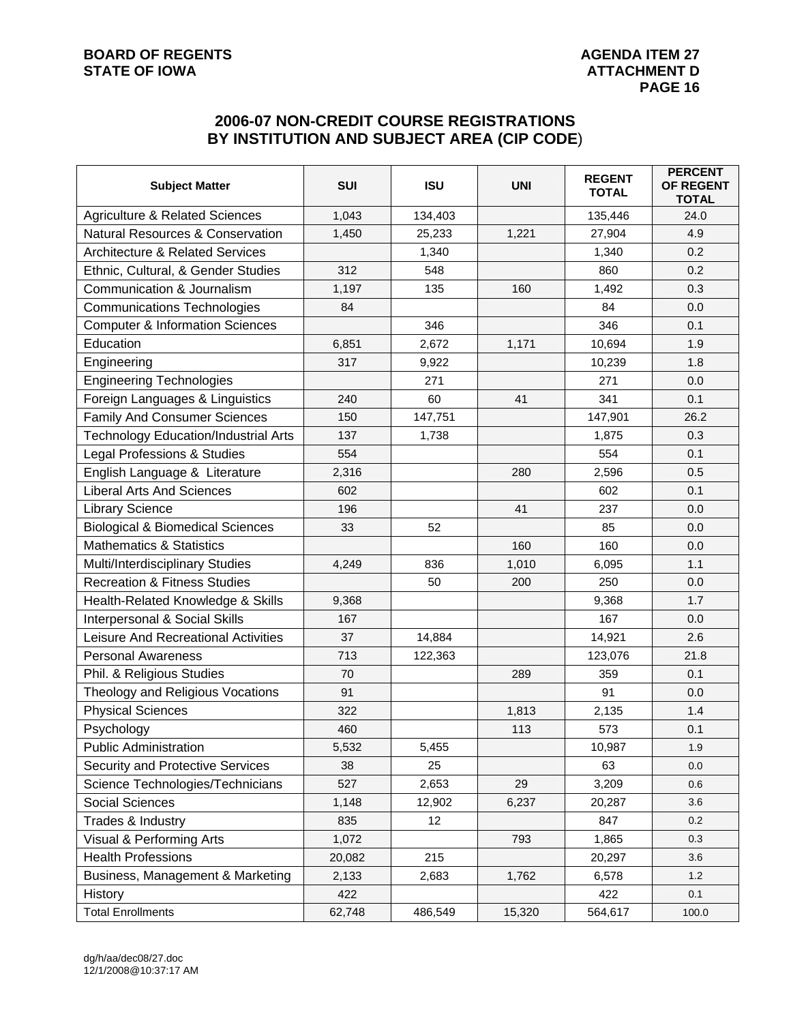# **BOARD OF REGENTS AGENDA ITEM 27**<br>STATE OF IOWA **AGENDA ITEM 27**

# **2006-07 NON-CREDIT COURSE REGISTRATIONS BY INSTITUTION AND SUBJECT AREA (CIP CODE**)

| <b>Subject Matter</b>                       | <b>SUI</b> | <b>ISU</b> | <b>UNI</b> | <b>REGENT</b><br><b>TOTAL</b> | <b>PERCENT</b><br>OF REGENT<br><b>TOTAL</b> |
|---------------------------------------------|------------|------------|------------|-------------------------------|---------------------------------------------|
| <b>Agriculture &amp; Related Sciences</b>   | 1,043      | 134,403    |            | 135,446                       | 24.0                                        |
| <b>Natural Resources &amp; Conservation</b> | 1,450      | 25,233     | 1,221      | 27,904                        | 4.9                                         |
| <b>Architecture &amp; Related Services</b>  |            | 1,340      |            | 1,340                         | 0.2                                         |
| Ethnic, Cultural, & Gender Studies          | 312        | 548        |            | 860                           | 0.2                                         |
| Communication & Journalism                  | 1,197      | 135        | 160        | 1,492                         | 0.3                                         |
| <b>Communications Technologies</b>          | 84         |            |            | 84                            | 0.0                                         |
| <b>Computer &amp; Information Sciences</b>  |            | 346        |            | 346                           | 0.1                                         |
| Education                                   | 6,851      | 2,672      | 1,171      | 10,694                        | 1.9                                         |
| Engineering                                 | 317        | 9,922      |            | 10,239                        | 1.8                                         |
| <b>Engineering Technologies</b>             |            | 271        |            | 271                           | 0.0                                         |
| Foreign Languages & Linguistics             | 240        | 60         | 41         | 341                           | 0.1                                         |
| <b>Family And Consumer Sciences</b>         | 150        | 147,751    |            | 147,901                       | 26.2                                        |
| <b>Technology Education/Industrial Arts</b> | 137        | 1,738      |            | 1,875                         | 0.3                                         |
| Legal Professions & Studies                 | 554        |            |            | 554                           | 0.1                                         |
| English Language & Literature               | 2,316      |            | 280        | 2,596                         | 0.5                                         |
| <b>Liberal Arts And Sciences</b>            | 602        |            |            | 602                           | 0.1                                         |
| <b>Library Science</b>                      | 196        |            | 41         | 237                           | 0.0                                         |
| <b>Biological &amp; Biomedical Sciences</b> | 33         | 52         |            | 85                            | 0.0                                         |
| <b>Mathematics &amp; Statistics</b>         |            |            | 160        | 160                           | 0.0                                         |
| Multi/Interdisciplinary Studies             | 4,249      | 836        | 1,010      | 6,095                         | 1.1                                         |
| <b>Recreation &amp; Fitness Studies</b>     |            | 50         | 200        | 250                           | 0.0                                         |
| Health-Related Knowledge & Skills           | 9,368      |            |            | 9,368                         | 1.7                                         |
| Interpersonal & Social Skills               | 167        |            |            | 167                           | 0.0                                         |
| Leisure And Recreational Activities         | 37         | 14,884     |            | 14,921                        | 2.6                                         |
| <b>Personal Awareness</b>                   | 713        | 122,363    |            | 123,076                       | 21.8                                        |
| Phil. & Religious Studies                   | 70         |            | 289        | 359                           | 0.1                                         |
| Theology and Religious Vocations            | 91         |            |            | 91                            | 0.0                                         |
| <b>Physical Sciences</b>                    | 322        |            | 1,813      | 2,135                         | 1.4                                         |
| Psychology                                  | 460        |            | 113        | 573                           | 0.1                                         |
| <b>Public Administration</b>                | 5,532      | 5,455      |            | 10,987                        | 1.9                                         |
| Security and Protective Services            | 38         | 25         |            | 63                            | 0.0                                         |
| Science Technologies/Technicians            | 527        | 2,653      | 29         | 3,209                         | 0.6                                         |
| Social Sciences                             | 1,148      | 12,902     | 6,237      | 20,287                        | 3.6                                         |
| Trades & Industry                           | 835        | 12         |            | 847                           | 0.2                                         |
| Visual & Performing Arts                    | 1,072      |            | 793        | 1,865                         | 0.3                                         |
| <b>Health Professions</b>                   | 20,082     | 215        |            | 20,297                        | 3.6                                         |
| Business, Management & Marketing            | 2,133      | 2,683      | 1,762      | 6,578                         | 1.2                                         |
| History                                     | 422        |            |            | 422                           | 0.1                                         |
| <b>Total Enrollments</b>                    | 62,748     | 486,549    | 15,320     | 564,617                       | 100.0                                       |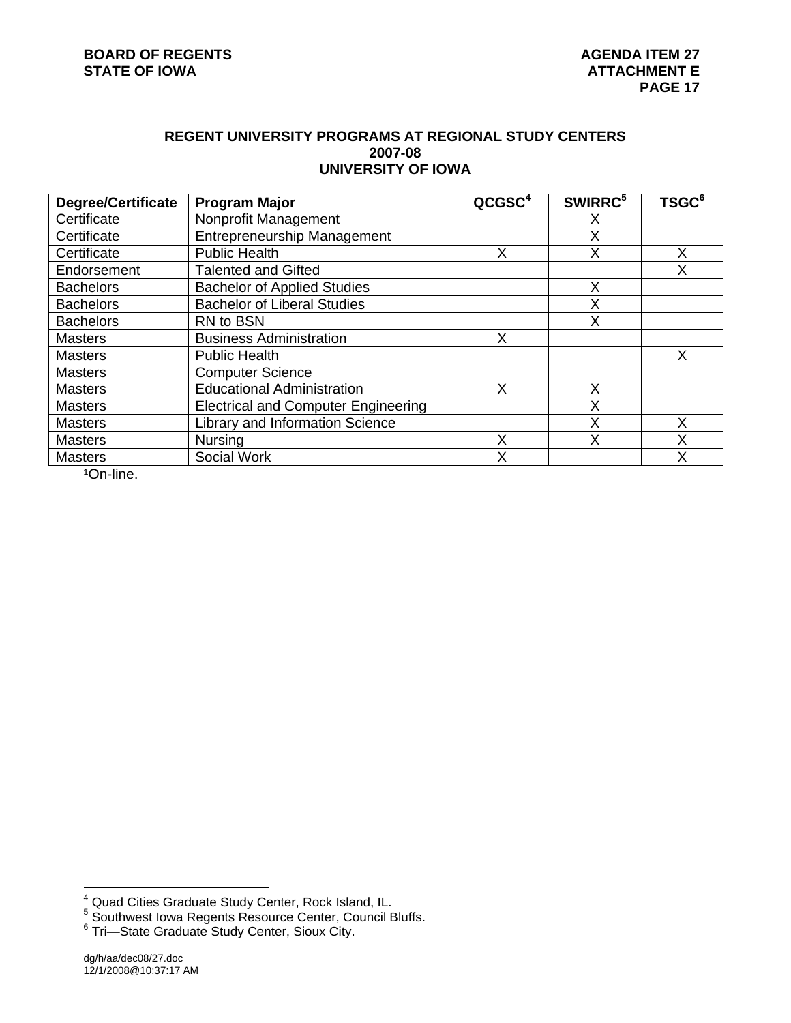### **REGENT UNIVERSITY PROGRAMS AT REGIONAL STUDY CENTERS 2007-08 UNIVERSITY OF IOWA**

| <b>Degree/Certificate</b> | <b>Program Major</b>                       | QCGSC <sup>4</sup> | SWIRRC <sup>5</sup> | <b>TSGC<sup>6</sup></b> |
|---------------------------|--------------------------------------------|--------------------|---------------------|-------------------------|
| Certificate               | Nonprofit Management                       |                    | Χ                   |                         |
| Certificate               | <b>Entrepreneurship Management</b>         |                    | Χ                   |                         |
| Certificate               | <b>Public Health</b>                       | X                  | Χ                   | Χ                       |
| Endorsement               | <b>Talented and Gifted</b>                 |                    |                     | X                       |
| <b>Bachelors</b>          | <b>Bachelor of Applied Studies</b>         |                    | X                   |                         |
| <b>Bachelors</b>          | <b>Bachelor of Liberal Studies</b>         |                    | X                   |                         |
| <b>Bachelors</b>          | RN to BSN                                  |                    | Х                   |                         |
| <b>Masters</b>            | <b>Business Administration</b>             | X                  |                     |                         |
| <b>Masters</b>            | <b>Public Health</b>                       |                    |                     | X                       |
| <b>Masters</b>            | <b>Computer Science</b>                    |                    |                     |                         |
| <b>Masters</b>            | <b>Educational Administration</b>          | Χ                  | X                   |                         |
| <b>Masters</b>            | <b>Electrical and Computer Engineering</b> |                    | Χ                   |                         |
| <b>Masters</b>            | Library and Information Science            |                    | Χ                   | X                       |
| <b>Masters</b>            | <b>Nursing</b>                             | X                  | Χ                   | Χ                       |
| <b>Masters</b>            | Social Work                                | X                  |                     | Χ                       |

1On-line.

 4 Quad Cities Graduate Study Center, Rock Island, IL. 5 Southwest Iowa Regents Resource Center, Council Bluffs. 6 Tri—State Graduate Study Center, Sioux City.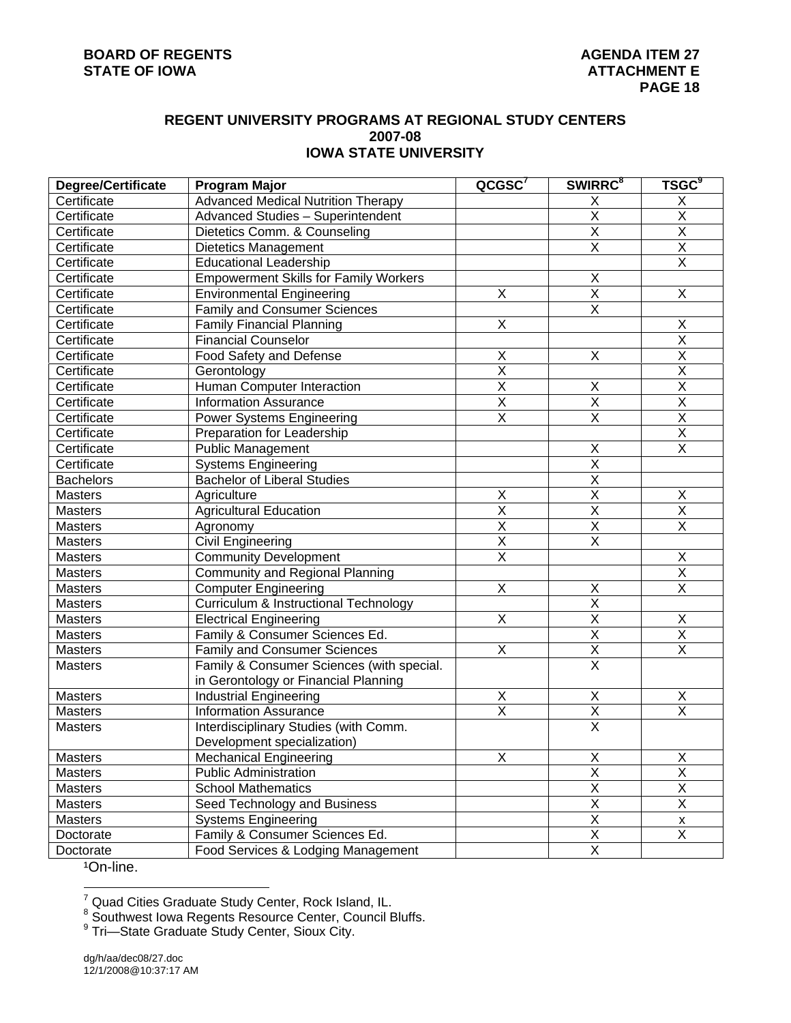### **REGENT UNIVERSITY PROGRAMS AT REGIONAL STUDY CENTERS 2007-08 IOWA STATE UNIVERSITY**

| <b>Degree/Certificate</b> | <b>Program Major</b>                         | QCGSC <sup>7</sup>      | <b>SWIRRC</b> <sup>8</sup>          | TSGC <sup>9</sup>       |
|---------------------------|----------------------------------------------|-------------------------|-------------------------------------|-------------------------|
| Certificate               | <b>Advanced Medical Nutrition Therapy</b>    |                         | X                                   | Χ                       |
| Certificate               | Advanced Studies - Superintendent            |                         | $\overline{\mathsf{x}}$             | $\overline{X}$          |
| Certificate               | Dietetics Comm. & Counseling                 |                         | $\overline{X}$                      | $\overline{\mathsf{X}}$ |
| Certificate               | <b>Dietetics Management</b>                  |                         | $\overline{\mathsf{X}}$             | $\overline{\mathsf{X}}$ |
| Certificate               | <b>Educational Leadership</b>                |                         |                                     | $\overline{\mathsf{x}}$ |
| Certificate               | <b>Empowerment Skills for Family Workers</b> |                         | $\mathsf X$                         |                         |
| Certificate               | <b>Environmental Engineering</b>             | X                       | $\overline{X}$                      | X                       |
| Certificate               | <b>Family and Consumer Sciences</b>          |                         | $\overline{X}$                      |                         |
| Certificate               | <b>Family Financial Planning</b>             | X                       |                                     | X                       |
| Certificate               | <b>Financial Counselor</b>                   |                         |                                     | $\overline{\mathsf{x}}$ |
| Certificate               | Food Safety and Defense                      | X                       | X                                   | $\overline{\mathsf{x}}$ |
| Certificate               | Gerontology                                  | $\overline{\mathsf{x}}$ |                                     | $\overline{\mathsf{x}}$ |
| Certificate               | Human Computer Interaction                   | $\overline{\mathsf{x}}$ | $\mathsf X$                         | $\overline{\mathsf{x}}$ |
| Certificate               | <b>Information Assurance</b>                 | $\overline{\mathsf{x}}$ | $\overline{\mathsf{X}}$             | $\overline{\mathsf{x}}$ |
| Certificate               | Power Systems Engineering                    | $\overline{\mathsf{x}}$ | $\overline{\mathsf{X}}$             | $\overline{\mathsf{x}}$ |
| Certificate               | Preparation for Leadership                   |                         |                                     | $\overline{\mathsf{X}}$ |
| Certificate               | <b>Public Management</b>                     |                         | $\mathsf X$                         | $\overline{\mathsf{x}}$ |
| Certificate               | <b>Systems Engineering</b>                   |                         | $\overline{\mathsf{X}}$             |                         |
| <b>Bachelors</b>          | <b>Bachelor of Liberal Studies</b>           |                         | $\overline{\mathsf{X}}$             |                         |
| <b>Masters</b>            | Agriculture                                  | X                       | $\overline{\mathsf{x}}$             | X                       |
| <b>Masters</b>            | <b>Agricultural Education</b>                | $\overline{\mathsf{x}}$ | $\overline{\mathsf{X}}$             | $\overline{\mathsf{x}}$ |
| Masters                   | Agronomy                                     | $\overline{\mathsf{x}}$ | $\overline{\mathsf{X}}$             | $\overline{\mathsf{x}}$ |
| Masters                   | <b>Civil Engineering</b>                     | $\overline{\mathsf{x}}$ | $\overline{\mathsf{X}}$             |                         |
| Masters                   | <b>Community Development</b>                 | $\overline{\mathsf{x}}$ |                                     | X                       |
| Masters                   | <b>Community and Regional Planning</b>       |                         |                                     | $\overline{\mathsf{x}}$ |
| Masters                   | <b>Computer Engineering</b>                  | $\overline{X}$          | $\sf X$                             | $\overline{\mathsf{x}}$ |
| Masters                   | Curriculum & Instructional Technology        |                         | $\overline{\mathsf{X}}$             |                         |
| Masters                   | <b>Electrical Engineering</b>                | X                       | $\overline{X}$                      | X                       |
| Masters                   | Family & Consumer Sciences Ed.               |                         | $\overline{X}$                      | $\overline{\mathsf{x}}$ |
| Masters                   | <b>Family and Consumer Sciences</b>          | X                       | $\frac{\overline{x}}{\overline{x}}$ | $\overline{\mathsf{x}}$ |
| <b>Masters</b>            | Family & Consumer Sciences (with special.    |                         |                                     |                         |
|                           | in Gerontology or Financial Planning         |                         |                                     |                         |
| <b>Masters</b>            | <b>Industrial Engineering</b>                | Χ                       | X                                   | Χ                       |
| <b>Masters</b>            | <b>Information Assurance</b>                 | $\overline{\mathsf{x}}$ | $\overline{\mathsf{x}}$             | $\overline{\mathsf{x}}$ |
| <b>Masters</b>            | Interdisciplinary Studies (with Comm.        |                         | $\overline{\mathsf{x}}$             |                         |
|                           | Development specialization)                  |                         |                                     |                         |
| Masters                   | <b>Mechanical Engineering</b>                | $\overline{\mathsf{x}}$ | $\overline{X}$                      | $\overline{\mathsf{x}}$ |
| <b>Masters</b>            | <b>Public Administration</b>                 |                         | $\overline{\mathsf{X}}$             | $\overline{\mathsf{X}}$ |
| Masters                   | <b>School Mathematics</b>                    |                         | $\overline{\mathsf{X}}$             | $\overline{\mathsf{X}}$ |
| Masters                   | Seed Technology and Business                 |                         | $\overline{\mathsf{X}}$             | $\overline{X}$          |
| Masters                   | <b>Systems Engineering</b>                   |                         | $\overline{X}$                      | X                       |
| Doctorate                 | Family & Consumer Sciences Ed.               |                         | $\overline{X}$                      | $\overline{X}$          |
| Doctorate                 | Food Services & Lodging Management           |                         | $\overline{X}$                      |                         |

<sup>1</sup>On-line.

<sup>7&</sup>lt;br><sup>7</sup> Quad Cities Graduate Study Center, Rock Island, IL.<br><sup>8</sup> Southwest Iowa Regents Resource Center, Council Bluffs.<br><sup>9</sup> Tri—State Graduate Study Center, Sioux City.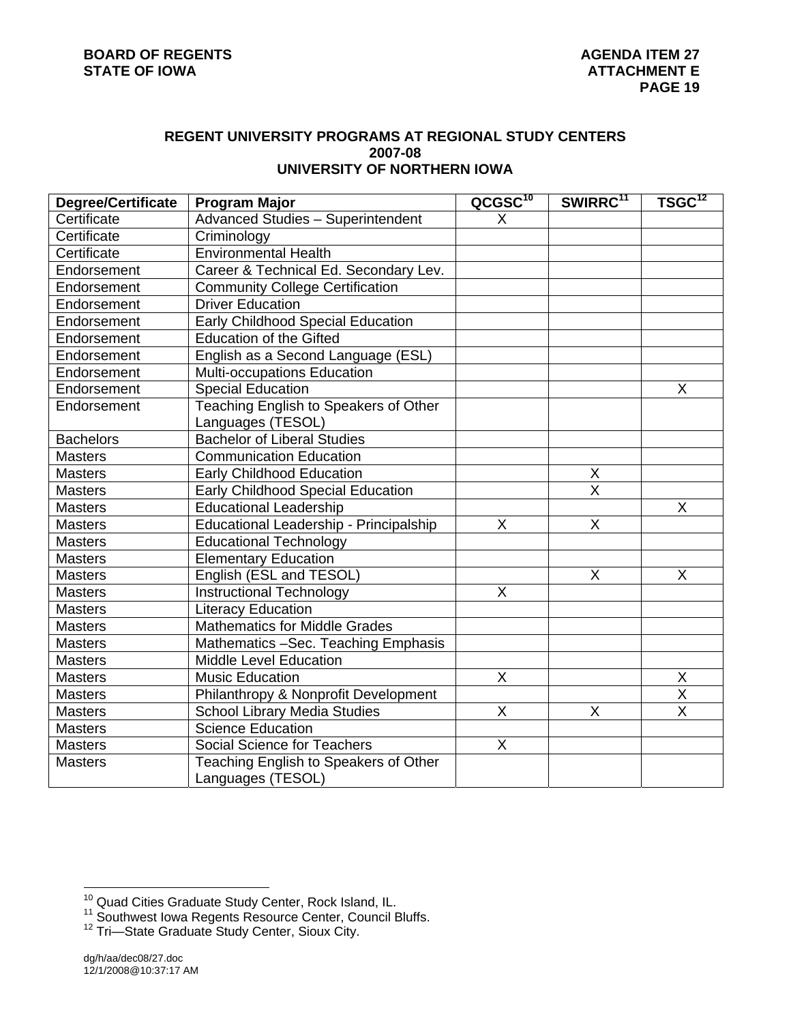### **REGENT UNIVERSITY PROGRAMS AT REGIONAL STUDY CENTERS 2007-08 UNIVERSITY OF NORTHERN IOWA**

| <b>Degree/Certificate</b> | <b>Program Major</b>                                       | QCGSC <sup>10</sup> | SWIRRC <sup>11</sup>    | $TSGC^{12}$             |
|---------------------------|------------------------------------------------------------|---------------------|-------------------------|-------------------------|
| Certificate               | <b>Advanced Studies - Superintendent</b>                   | X                   |                         |                         |
| Certificate               | Criminology                                                |                     |                         |                         |
| Certificate               | <b>Environmental Health</b>                                |                     |                         |                         |
| Endorsement               | Career & Technical Ed. Secondary Lev.                      |                     |                         |                         |
| Endorsement               | <b>Community College Certification</b>                     |                     |                         |                         |
| Endorsement               | <b>Driver Education</b>                                    |                     |                         |                         |
| Endorsement               | <b>Early Childhood Special Education</b>                   |                     |                         |                         |
| Endorsement               | <b>Education of the Gifted</b>                             |                     |                         |                         |
| Endorsement               | English as a Second Language (ESL)                         |                     |                         |                         |
| Endorsement               | Multi-occupations Education                                |                     |                         |                         |
| Endorsement               | <b>Special Education</b>                                   |                     |                         | X                       |
| Endorsement               | Teaching English to Speakers of Other<br>Languages (TESOL) |                     |                         |                         |
| <b>Bachelors</b>          | <b>Bachelor of Liberal Studies</b>                         |                     |                         |                         |
| <b>Masters</b>            | <b>Communication Education</b>                             |                     |                         |                         |
| <b>Masters</b>            | <b>Early Childhood Education</b>                           |                     | X                       |                         |
| <b>Masters</b>            | <b>Early Childhood Special Education</b>                   |                     | $\overline{\mathsf{x}}$ |                         |
| <b>Masters</b>            | <b>Educational Leadership</b>                              |                     |                         | X                       |
| <b>Masters</b>            | Educational Leadership - Principalship                     | X                   | X                       |                         |
| <b>Masters</b>            | <b>Educational Technology</b>                              |                     |                         |                         |
| <b>Masters</b>            | <b>Elementary Education</b>                                |                     |                         |                         |
| <b>Masters</b>            | English (ESL and TESOL)                                    |                     | X                       | X                       |
| <b>Masters</b>            | <b>Instructional Technology</b>                            | X                   |                         |                         |
| <b>Masters</b>            | <b>Literacy Education</b>                                  |                     |                         |                         |
| <b>Masters</b>            | <b>Mathematics for Middle Grades</b>                       |                     |                         |                         |
| <b>Masters</b>            | Mathematics - Sec. Teaching Emphasis                       |                     |                         |                         |
| <b>Masters</b>            | <b>Middle Level Education</b>                              |                     |                         |                         |
| <b>Masters</b>            | <b>Music Education</b>                                     | X                   |                         | Χ                       |
| <b>Masters</b>            | Philanthropy & Nonprofit Development                       |                     |                         | $\overline{\mathsf{x}}$ |
| <b>Masters</b>            | <b>School Library Media Studies</b>                        | $\sf X$             | X                       | $\overline{\mathsf{x}}$ |
| <b>Masters</b>            | <b>Science Education</b>                                   |                     |                         |                         |
| <b>Masters</b>            | Social Science for Teachers                                | Χ                   |                         |                         |
| <b>Masters</b>            | Teaching English to Speakers of Other<br>Languages (TESOL) |                     |                         |                         |

 $\overline{a}$ 

<sup>&</sup>lt;sup>10</sup> Quad Cities Graduate Study Center, Rock Island, IL.

<sup>&</sup>lt;sup>11</sup> Southwest Iowa Regents Resource Center, Council Bluffs.<br><sup>12</sup> Tri—State Graduate Study Center, Sioux City.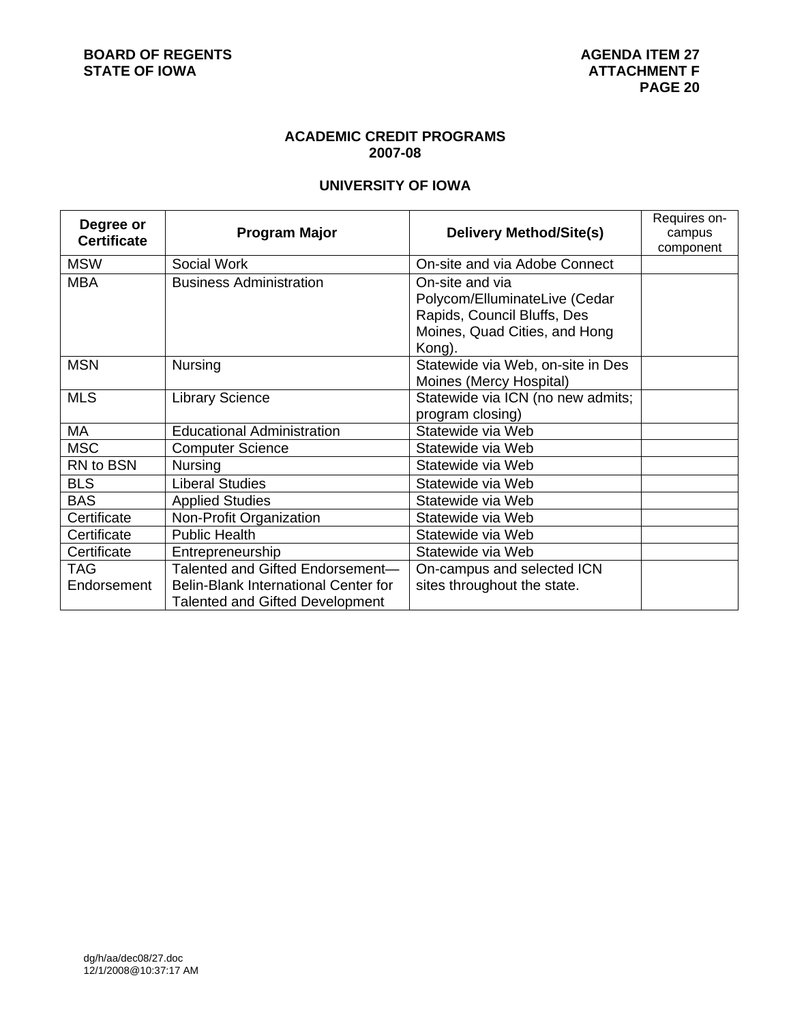# **ACADEMIC CREDIT PROGRAMS 2007-08**

# **UNIVERSITY OF IOWA**

| Degree or<br><b>Certificate</b> | <b>Program Major</b>                   | <b>Delivery Method/Site(s)</b>    | Requires on-<br>campus<br>component |
|---------------------------------|----------------------------------------|-----------------------------------|-------------------------------------|
| <b>MSW</b>                      | Social Work                            | On-site and via Adobe Connect     |                                     |
| <b>MBA</b>                      | <b>Business Administration</b>         | On-site and via                   |                                     |
|                                 |                                        | Polycom/ElluminateLive (Cedar     |                                     |
|                                 |                                        | Rapids, Council Bluffs, Des       |                                     |
|                                 |                                        | Moines, Quad Cities, and Hong     |                                     |
|                                 |                                        | Kong).                            |                                     |
| <b>MSN</b>                      | Nursing                                | Statewide via Web, on-site in Des |                                     |
|                                 |                                        | Moines (Mercy Hospital)           |                                     |
| <b>MLS</b>                      | <b>Library Science</b>                 | Statewide via ICN (no new admits; |                                     |
|                                 |                                        | program closing)                  |                                     |
| МA                              | <b>Educational Administration</b>      | Statewide via Web                 |                                     |
| <b>MSC</b>                      | <b>Computer Science</b>                | Statewide via Web                 |                                     |
| RN to BSN                       | <b>Nursing</b>                         | Statewide via Web                 |                                     |
| <b>BLS</b>                      | <b>Liberal Studies</b>                 | Statewide via Web                 |                                     |
| <b>BAS</b>                      | <b>Applied Studies</b>                 | Statewide via Web                 |                                     |
| Certificate                     | Non-Profit Organization                | Statewide via Web                 |                                     |
| Certificate                     | <b>Public Health</b>                   | Statewide via Web                 |                                     |
| Certificate                     | Entrepreneurship                       | Statewide via Web                 |                                     |
| TAG                             | Talented and Gifted Endorsement-       | On-campus and selected ICN        |                                     |
| Endorsement                     | Belin-Blank International Center for   | sites throughout the state.       |                                     |
|                                 | <b>Talented and Gifted Development</b> |                                   |                                     |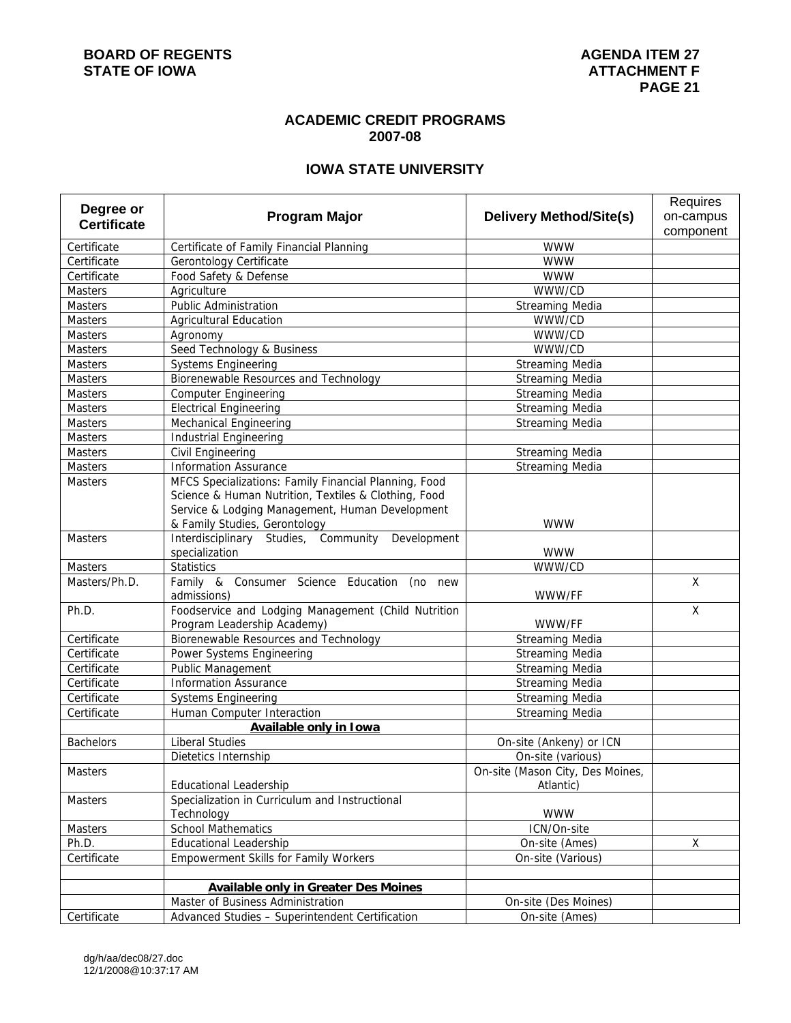### **ACADEMIC CREDIT PROGRAMS 2007-08**

## **IOWA STATE UNIVERSITY**

| Degree or          |                                                        |                                 | Requires     |
|--------------------|--------------------------------------------------------|---------------------------------|--------------|
| <b>Certificate</b> | <b>Program Major</b>                                   | <b>Delivery Method/Site(s)</b>  | on-campus    |
|                    |                                                        |                                 | component    |
| Certificate        | Certificate of Family Financial Planning               | <b>WWW</b>                      |              |
| Certificate        | Gerontology Certificate                                | <b>WWW</b>                      |              |
| Certificate        | Food Safety & Defense                                  | <b>WWW</b>                      |              |
| Masters            | Agriculture                                            | WWW/CD                          |              |
| Masters            | Public Administration                                  | <b>Streaming Media</b>          |              |
| Masters            | <b>Agricultural Education</b>                          | WWW/CD                          |              |
| <b>Masters</b>     | Agronomy                                               | WWW/CD                          |              |
| Masters            | Seed Technology & Business                             | WWW/CD                          |              |
| <b>Masters</b>     | <b>Systems Engineering</b>                             | <b>Streaming Media</b>          |              |
| Masters            | Biorenewable Resources and Technology                  | <b>Streaming Media</b>          |              |
| Masters            | <b>Computer Engineering</b>                            | <b>Streaming Media</b>          |              |
| Masters            | <b>Electrical Engineering</b>                          | <b>Streaming Media</b>          |              |
| Masters            | <b>Mechanical Engineering</b>                          | <b>Streaming Media</b>          |              |
| Masters            | <b>Industrial Engineering</b>                          |                                 |              |
| Masters            | Civil Engineering                                      | <b>Streaming Media</b>          |              |
| Masters            | <b>Information Assurance</b>                           | Streaming Media                 |              |
| Masters            | MFCS Specializations: Family Financial Planning, Food  |                                 |              |
|                    | Science & Human Nutrition, Textiles & Clothing, Food   |                                 |              |
|                    | Service & Lodging Management, Human Development        |                                 |              |
|                    | & Family Studies, Gerontology                          | <b>WWW</b>                      |              |
| Masters            | Interdisciplinary Studies,<br>Community<br>Development |                                 |              |
|                    | specialization                                         | <b>WWW</b>                      |              |
| Masters            | <b>Statistics</b>                                      | WWW/CD                          |              |
| Masters/Ph.D.      | Family & Consumer Science Education<br>(no new         |                                 | X            |
|                    | admissions)                                            | WWW/FF                          |              |
| Ph.D.              | Foodservice and Lodging Management (Child Nutrition    |                                 | $\mathsf{X}$ |
|                    | Program Leadership Academy)                            | WWW/FF                          |              |
| Certificate        | Biorenewable Resources and Technology                  | <b>Streaming Media</b>          |              |
| Certificate        | Power Systems Engineering                              | <b>Streaming Media</b>          |              |
| Certificate        | Public Management                                      | <b>Streaming Media</b>          |              |
| Certificate        | <b>Information Assurance</b>                           | <b>Streaming Media</b>          |              |
| Certificate        | <b>Systems Engineering</b>                             | <b>Streaming Media</b>          |              |
| Certificate        | Human Computer Interaction                             | <b>Streaming Media</b>          |              |
|                    | <b>Available only in Iowa</b>                          |                                 |              |
| <b>Bachelors</b>   | <b>Liberal Studies</b>                                 | On-site (Ankeny) or ICN         |              |
|                    | Dietetics Internship                                   | On-site (various)               |              |
| Masters            |                                                        | On-site (Mason City, Des Moines |              |
|                    | <b>Educational Leadership</b>                          | Atlantic)                       |              |
| Masters            | Specialization in Curriculum and Instructional         |                                 |              |
|                    | Technology                                             | <b>WWW</b>                      |              |
| Masters            | <b>School Mathematics</b>                              | ICN/On-site                     |              |
| Ph.D.              | <b>Educational Leadership</b>                          | On-site (Ames)                  | Χ            |
| Certificate        | <b>Empowerment Skills for Family Workers</b>           | On-site (Various)               |              |
|                    |                                                        |                                 |              |
|                    | <b>Available only in Greater Des Moines</b>            |                                 |              |
|                    | Master of Business Administration                      | On-site (Des Moines)            |              |
| Certificate        | Advanced Studies - Superintendent Certification        | On-site (Ames)                  |              |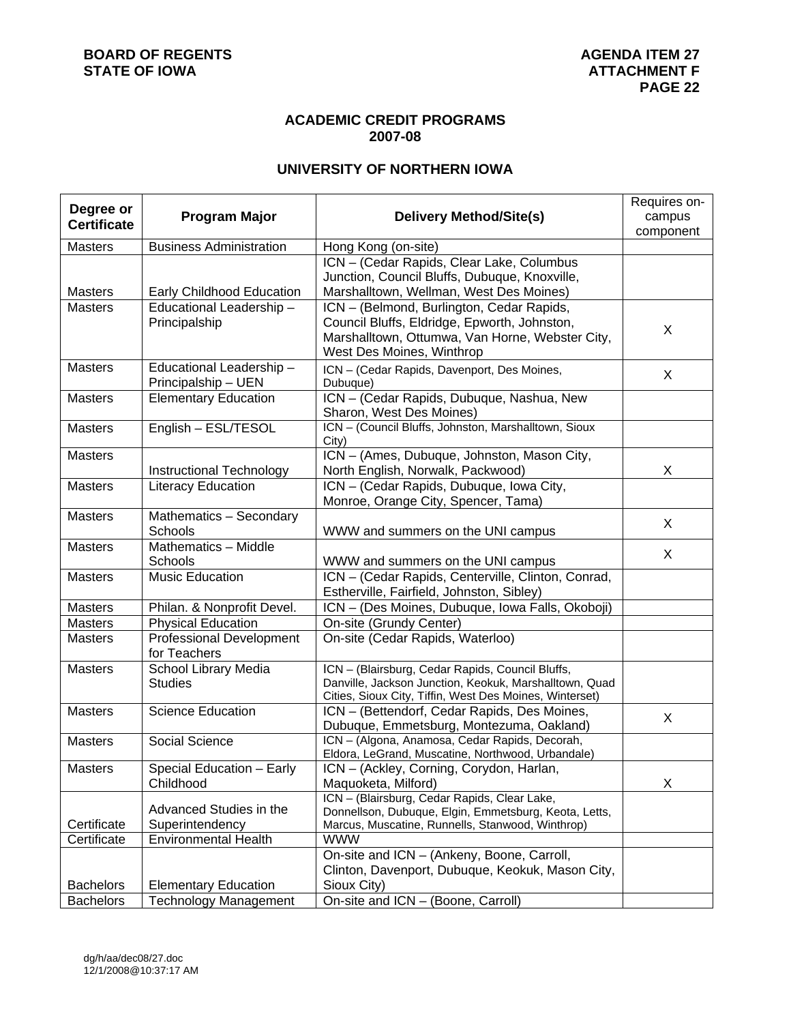### **ACADEMIC CREDIT PROGRAMS 2007-08**

# **UNIVERSITY OF NORTHERN IOWA**

|                    |                                 | Requires on-                                                                                               |           |
|--------------------|---------------------------------|------------------------------------------------------------------------------------------------------------|-----------|
| Degree or          | <b>Program Major</b>            | <b>Delivery Method/Site(s)</b>                                                                             | campus    |
| <b>Certificate</b> |                                 |                                                                                                            | component |
| <b>Masters</b>     | <b>Business Administration</b>  | Hong Kong (on-site)                                                                                        |           |
|                    |                                 | ICN - (Cedar Rapids, Clear Lake, Columbus                                                                  |           |
|                    |                                 | Junction, Council Bluffs, Dubuque, Knoxville,                                                              |           |
| <b>Masters</b>     | Early Childhood Education       | Marshalltown, Wellman, West Des Moines)                                                                    |           |
| <b>Masters</b>     | Educational Leadership -        | ICN - (Belmond, Burlington, Cedar Rapids,                                                                  |           |
|                    | Principalship                   | Council Bluffs, Eldridge, Epworth, Johnston,                                                               |           |
|                    |                                 | Marshalltown, Ottumwa, Van Horne, Webster City,                                                            | X         |
|                    |                                 | West Des Moines, Winthrop                                                                                  |           |
| <b>Masters</b>     | Educational Leadership-         | ICN - (Cedar Rapids, Davenport, Des Moines,                                                                |           |
|                    | Principalship - UEN             | Dubuque)                                                                                                   | X         |
| <b>Masters</b>     | <b>Elementary Education</b>     | ICN - (Cedar Rapids, Dubuque, Nashua, New                                                                  |           |
|                    |                                 | Sharon, West Des Moines)                                                                                   |           |
| <b>Masters</b>     | English - ESL/TESOL             | ICN - (Council Bluffs, Johnston, Marshalltown, Sioux                                                       |           |
|                    |                                 | City)                                                                                                      |           |
| <b>Masters</b>     |                                 | ICN - (Ames, Dubuque, Johnston, Mason City,                                                                |           |
|                    | Instructional Technology        | North English, Norwalk, Packwood)                                                                          | X         |
| <b>Masters</b>     | <b>Literacy Education</b>       | ICN - (Cedar Rapids, Dubuque, Iowa City,                                                                   |           |
|                    |                                 | Monroe, Orange City, Spencer, Tama)                                                                        |           |
| <b>Masters</b>     | Mathematics - Secondary         |                                                                                                            | X         |
|                    | Schools                         | WWW and summers on the UNI campus                                                                          |           |
| <b>Masters</b>     | Mathematics - Middle            |                                                                                                            | X         |
|                    | Schools                         | WWW and summers on the UNI campus                                                                          |           |
| <b>Masters</b>     | <b>Music Education</b>          | ICN - (Cedar Rapids, Centerville, Clinton, Conrad,                                                         |           |
|                    |                                 | Estherville, Fairfield, Johnston, Sibley)                                                                  |           |
| <b>Masters</b>     | Philan. & Nonprofit Devel.      | ICN - (Des Moines, Dubuque, Iowa Falls, Okoboji)                                                           |           |
| <b>Masters</b>     | <b>Physical Education</b>       | On-site (Grundy Center)                                                                                    |           |
| <b>Masters</b>     | <b>Professional Development</b> | On-site (Cedar Rapids, Waterloo)                                                                           |           |
|                    | for Teachers                    |                                                                                                            |           |
| <b>Masters</b>     | School Library Media            | ICN - (Blairsburg, Cedar Rapids, Council Bluffs,<br>Danville, Jackson Junction, Keokuk, Marshalltown, Quad |           |
|                    | <b>Studies</b>                  | Cities, Sioux City, Tiffin, West Des Moines, Winterset)                                                    |           |
| <b>Masters</b>     | <b>Science Education</b>        | ICN - (Bettendorf, Cedar Rapids, Des Moines,                                                               |           |
|                    |                                 | Dubuque, Emmetsburg, Montezuma, Oakland)                                                                   | X         |
| <b>Masters</b>     | Social Science                  | ICN - (Algona, Anamosa, Cedar Rapids, Decorah,                                                             |           |
|                    |                                 | Eldora, LeGrand, Muscatine, Northwood, Urbandale)                                                          |           |
| <b>Masters</b>     | Special Education - Early       | ICN - (Ackley, Corning, Corydon, Harlan,                                                                   |           |
|                    | Childhood                       | Maquoketa, Milford)                                                                                        | X         |
|                    |                                 | ICN - (Blairsburg, Cedar Rapids, Clear Lake,                                                               |           |
|                    | Advanced Studies in the         | Donnellson, Dubuque, Elgin, Emmetsburg, Keota, Letts,                                                      |           |
| Certificate        | Superintendency                 | Marcus, Muscatine, Runnells, Stanwood, Winthrop)                                                           |           |
| Certificate        | <b>Environmental Health</b>     | <b>WWW</b>                                                                                                 |           |
|                    |                                 | On-site and ICN - (Ankeny, Boone, Carroll,                                                                 |           |
|                    |                                 | Clinton, Davenport, Dubuque, Keokuk, Mason City,                                                           |           |
| <b>Bachelors</b>   | <b>Elementary Education</b>     | Sioux City)                                                                                                |           |
| <b>Bachelors</b>   | <b>Technology Management</b>    | On-site and ICN - (Boone, Carroll)                                                                         |           |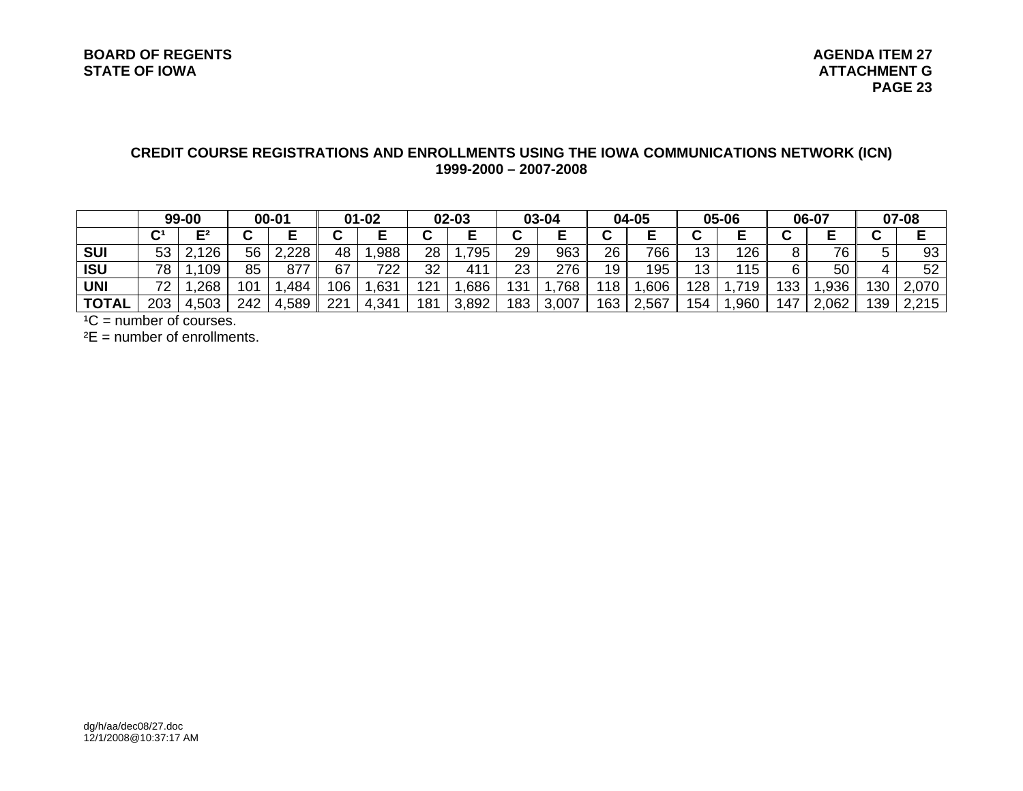# **CREDIT COURSE REGISTRATIONS AND ENROLLMENTS USING THE IOWA COMMUNICATIONS NETWORK (ICN) 1999-2000 – 2007-2008**

|              | 99-00          |                 | $00 - 01$ |       | $01 - 02$ |      | 02-03  |       | 03-04  |      | 04-05 |       | 05-06           |      | 06-07 |       | 07-08 |       |
|--------------|----------------|-----------------|-----------|-------|-----------|------|--------|-------|--------|------|-------|-------|-----------------|------|-------|-------|-------|-------|
|              | $\mathbf{C}^1$ | F <sub>2</sub>  | ⌒<br>ີ    | ∽     | ◠<br>ັ    | -    | ~<br>v |       | ~<br>ັ | -    | ັ     | -     |                 | -    |       |       | ~     |       |
| <b>SUI</b>   | 53             | 126<br><u>.</u> | 56        | 2,228 | 48        | ,988 | 28     | 795   | 29     | 963  | 26    | 766   | 13 <sub>1</sub> | 126  | O     | 76    |       | 93    |
| <b>ISU</b>   | 78             | 109             | 85        | 877   | 67        | 722  | 32     | 41'   | 23     | 276  | 19    | 195   | 13 <sup>°</sup> | 115  | ี     | 50    | д     | 52    |
| UNI          | 72             | .268            | 101       | .484  | 106       | ,63' | 21     | 686   | 131    | 768  | 18    | ,606  | 128             | 719  | 33    | ,936  | 130   | 2,070 |
| <b>TOTAL</b> | 203<br>∠∪ບ     | 4,503           | 242       | ,589  | 221       | .341 | 81     | 3,892 | 183    | ,007 | 163   | 2,567 | 154             | ,960 | 47    | 2,062 | 139   | 2,215 |

 $^1C$  = number of courses.

 $E =$  number of enrollments.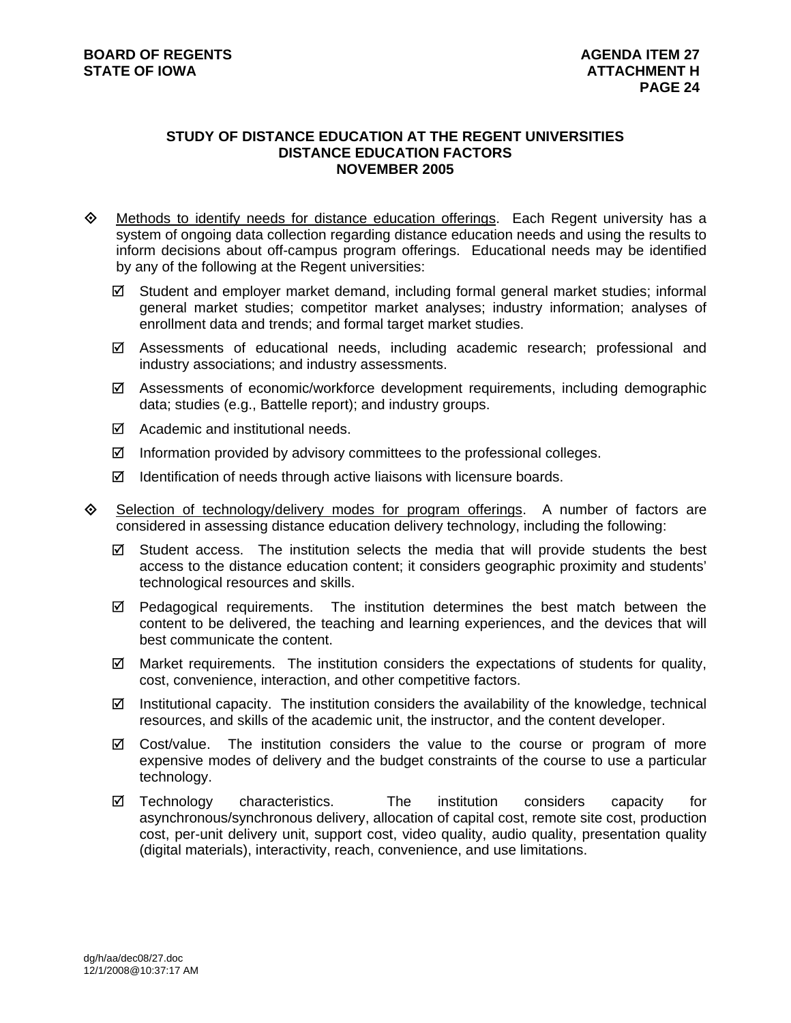### **STUDY OF DISTANCE EDUCATION AT THE REGENT UNIVERSITIES DISTANCE EDUCATION FACTORS NOVEMBER 2005**

- $\Leftrightarrow$  Methods to identify needs for distance education offerings. Each Regent university has a system of ongoing data collection regarding distance education needs and using the results to inform decisions about off-campus program offerings. Educational needs may be identified by any of the following at the Regent universities:
	- 5 Student and employer market demand, including formal general market studies; informal general market studies; competitor market analyses; industry information; analyses of enrollment data and trends; and formal target market studies.
	- 5 Assessments of educational needs, including academic research; professional and industry associations; and industry assessments.
	- $\boxtimes$  Assessments of economic/workforce development requirements, including demographic data; studies (e.g., Battelle report); and industry groups.
	- $\boxtimes$  Academic and institutional needs.
	- $\boxtimes$  Information provided by advisory committees to the professional colleges.
	- $\boxtimes$  Identification of needs through active liaisons with licensure boards.
- $\diamondsuit$  Selection of technology/delivery modes for program offerings. A number of factors are considered in assessing distance education delivery technology, including the following:
	- $\boxtimes$  Student access. The institution selects the media that will provide students the best access to the distance education content; it considers geographic proximity and students' technological resources and skills.
	- $\boxtimes$  Pedagogical requirements. The institution determines the best match between the content to be delivered, the teaching and learning experiences, and the devices that will best communicate the content.
	- $\boxtimes$  Market requirements. The institution considers the expectations of students for quality, cost, convenience, interaction, and other competitive factors.
	- $\boxtimes$  Institutional capacity. The institution considers the availability of the knowledge, technical resources, and skills of the academic unit, the instructor, and the content developer.
	- $\boxtimes$  Cost/value. The institution considers the value to the course or program of more expensive modes of delivery and the budget constraints of the course to use a particular technology.
	- $\boxtimes$  Technology characteristics. The institution considers capacity for asynchronous/synchronous delivery, allocation of capital cost, remote site cost, production cost, per-unit delivery unit, support cost, video quality, audio quality, presentation quality (digital materials), interactivity, reach, convenience, and use limitations.